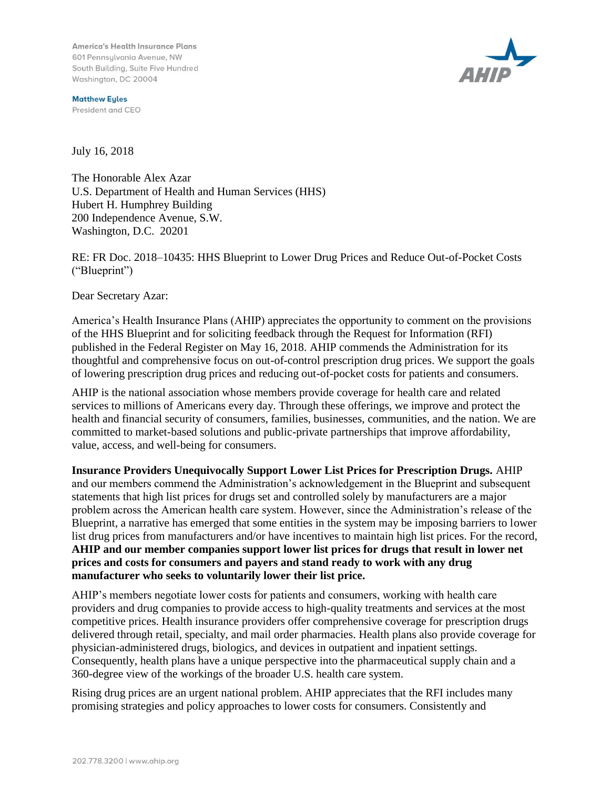America's Health Insurance Plans 601 Pennsylvania Avenue, NW South Building, Suite Five Hundred Washington, DC 20004

**Matthew Eyles** President and CEO



July 16, 2018

The Honorable Alex Azar U.S. Department of Health and Human Services (HHS) Hubert H. Humphrey Building 200 Independence Avenue, S.W. Washington, D.C. 20201

RE: FR Doc. 2018–10435: HHS Blueprint to Lower Drug Prices and Reduce Out-of-Pocket Costs ("Blueprint")

Dear Secretary Azar:

America's Health Insurance Plans (AHIP) appreciates the opportunity to comment on the provisions of the HHS Blueprint and for soliciting feedback through the Request for Information (RFI) published in the Federal Register on May 16, 2018. AHIP commends the Administration for its thoughtful and comprehensive focus on out-of-control prescription drug prices. We support the goals of lowering prescription drug prices and reducing out-of-pocket costs for patients and consumers.

AHIP is the national association whose members provide coverage for health care and related services to millions of Americans every day. Through these offerings, we improve and protect the health and financial security of consumers, families, businesses, communities, and the nation. We are committed to market-based solutions and public-private partnerships that improve affordability, value, access, and well-being for consumers.

**Insurance Providers Unequivocally Support Lower List Prices for Prescription Drugs.** AHIP and our members commend the Administration's acknowledgement in the Blueprint and subsequent statements that high list prices for drugs set and controlled solely by manufacturers are a major problem across the American health care system. However, since the Administration's release of the Blueprint, a narrative has emerged that some entities in the system may be imposing barriers to lower list drug prices from manufacturers and/or have incentives to maintain high list prices. For the record, **AHIP and our member companies support lower list prices for drugs that result in lower net prices and costs for consumers and payers and stand ready to work with any drug manufacturer who seeks to voluntarily lower their list price.**

AHIP's members negotiate lower costs for patients and consumers, working with health care providers and drug companies to provide access to high-quality treatments and services at the most competitive prices. Health insurance providers offer comprehensive coverage for prescription drugs delivered through retail, specialty, and mail order pharmacies. Health plans also provide coverage for physician-administered drugs, biologics, and devices in outpatient and inpatient settings. Consequently, health plans have a unique perspective into the pharmaceutical supply chain and a 360-degree view of the workings of the broader U.S. health care system.

Rising drug prices are an urgent national problem. AHIP appreciates that the RFI includes many promising strategies and policy approaches to lower costs for consumers. Consistently and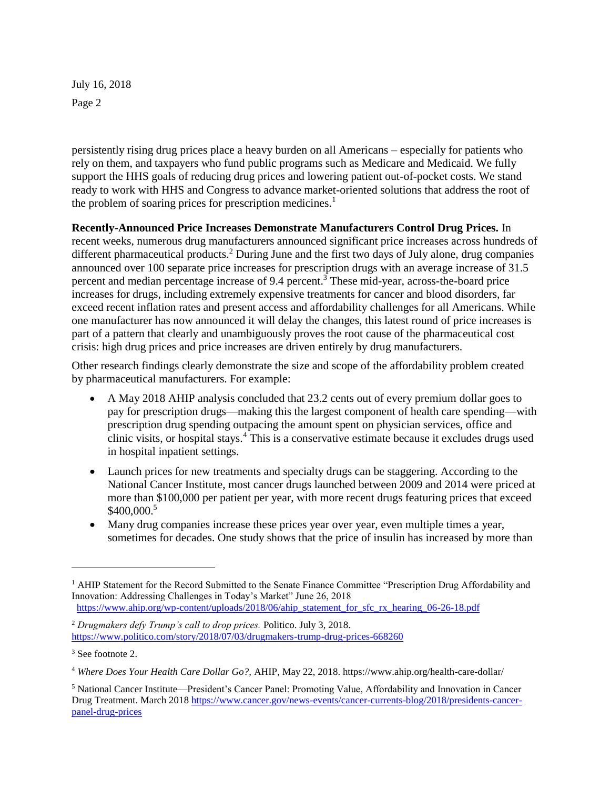persistently rising drug prices place a heavy burden on all Americans – especially for patients who rely on them, and taxpayers who fund public programs such as Medicare and Medicaid. We fully support the HHS goals of reducing drug prices and lowering patient out-of-pocket costs. We stand ready to work with HHS and Congress to advance market-oriented solutions that address the root of the problem of soaring prices for prescription medicines.<sup>1</sup>

**Recently-Announced Price Increases Demonstrate Manufacturers Control Drug Prices.** In recent weeks, numerous drug manufacturers announced significant price increases across hundreds of different pharmaceutical products.<sup>2</sup> During June and the first two days of July alone, drug companies announced over 100 separate price increases for prescription drugs with an average increase of 31.5 percent and median percentage increase of 9.4 percent.<sup>3</sup> These mid-year, across-the-board price increases for drugs, including extremely expensive treatments for cancer and blood disorders, far exceed recent inflation rates and present access and affordability challenges for all Americans. While one manufacturer has now announced it will delay the changes, this latest round of price increases is part of a pattern that clearly and unambiguously proves the root cause of the pharmaceutical cost

Other research findings clearly demonstrate the size and scope of the affordability problem created by pharmaceutical manufacturers. For example:

crisis: high drug prices and price increases are driven entirely by drug manufacturers.

- A May 2018 AHIP analysis concluded that 23.2 cents out of every premium dollar goes to pay for prescription drugs—making this the largest component of health care spending—with prescription drug spending outpacing the amount spent on physician services, office and clinic visits, or hospital stays.<sup>4</sup> This is a conservative estimate because it excludes drugs used in hospital inpatient settings.
- Launch prices for new treatments and specialty drugs can be staggering. According to the National Cancer Institute, most cancer drugs launched between 2009 and 2014 were priced at more than \$100,000 per patient per year, with more recent drugs featuring prices that exceed \$400,000.<sup>5</sup>
- Many drug companies increase these prices year over year, even multiple times a year, sometimes for decades. One study shows that the price of insulin has increased by more than

<sup>&</sup>lt;sup>1</sup> AHIP Statement for the Record Submitted to the Senate Finance Committee "Prescription Drug Affordability and Innovation: Addressing Challenges in Today's Market" June 26, 2018 [https://www.ahip.org/wp-content/uploads/2018/06/ahip\\_statement\\_for\\_sfc\\_rx\\_hearing\\_06-26-18.pdf](https://www.ahip.org/wp-content/uploads/2018/06/ahip_statement_for_sfc_rx_hearing_06-26-18.pdf)

<sup>2</sup> *Drugmakers defy Trump's call to drop prices.* Politico. July 3, 2018. <https://www.politico.com/story/2018/07/03/drugmakers-trump-drug-prices-668260>

<sup>3</sup> See footnote 2.

<sup>4</sup> *Where Does Your Health Care Dollar Go?,* AHIP, May 22, 2018. https://www.ahip.org/health-care-dollar/

<sup>5</sup> National Cancer Institute—President's Cancer Panel: Promoting Value, Affordability and Innovation in Cancer Drug Treatment. March 2018 [https://www.cancer.gov/news-events/cancer-currents-blog/2018/presidents-cancer](https://www.cancer.gov/news-events/cancer-currents-blog/2018/presidents-cancer-panel-drug-prices)[panel-drug-prices](https://www.cancer.gov/news-events/cancer-currents-blog/2018/presidents-cancer-panel-drug-prices)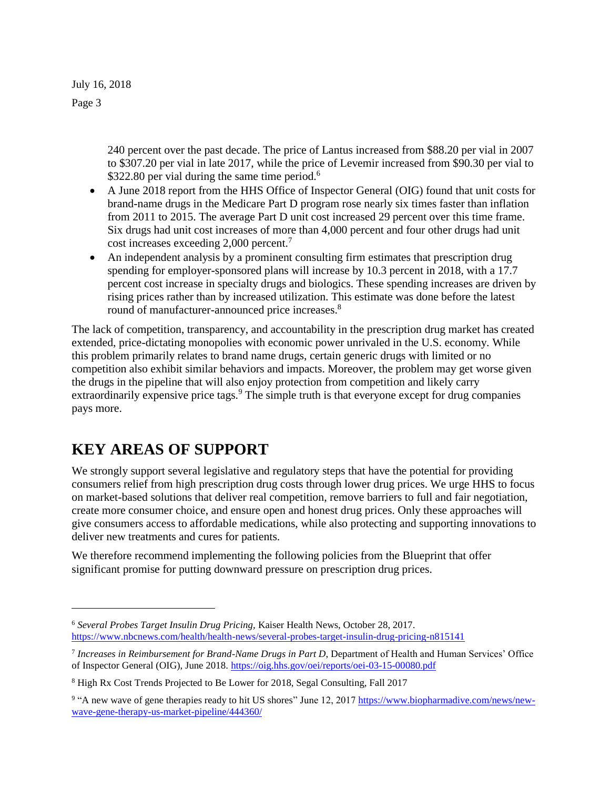July 16, 2018

Page 3

l

240 percent over the past decade. The price of Lantus increased from \$88.20 per vial in 2007 to \$307.20 per vial in late 2017, while the price of Levemir increased from \$90.30 per vial to \$322.80 per vial during the same time period.<sup>6</sup>

- A June 2018 report from the HHS Office of Inspector General (OIG) found that unit costs for brand-name drugs in the Medicare Part D program rose nearly six times faster than inflation from 2011 to 2015. The average Part D unit cost increased 29 percent over this time frame. Six drugs had unit cost increases of more than 4,000 percent and four other drugs had unit cost increases exceeding 2,000 percent.<sup>7</sup>
- An independent analysis by a prominent consulting firm estimates that prescription drug spending for employer-sponsored plans will increase by 10.3 percent in 2018, with a 17.7 percent cost increase in specialty drugs and biologics. These spending increases are driven by rising prices rather than by increased utilization. This estimate was done before the latest round of manufacturer-announced price increases.<sup>8</sup>

The lack of competition, transparency, and accountability in the prescription drug market has created extended, price-dictating monopolies with economic power unrivaled in the U.S. economy. While this problem primarily relates to brand name drugs, certain generic drugs with limited or no competition also exhibit similar behaviors and impacts. Moreover, the problem may get worse given the drugs in the pipeline that will also enjoy protection from competition and likely carry extraordinarily expensive price tags.<sup>9</sup> The simple truth is that everyone except for drug companies pays more.

#### **KEY AREAS OF SUPPORT**

We strongly support several legislative and regulatory steps that have the potential for providing consumers relief from high prescription drug costs through lower drug prices. We urge HHS to focus on market-based solutions that deliver real competition, remove barriers to full and fair negotiation, create more consumer choice, and ensure open and honest drug prices. Only these approaches will give consumers access to affordable medications, while also protecting and supporting innovations to deliver new treatments and cures for patients.

We therefore recommend implementing the following policies from the Blueprint that offer significant promise for putting downward pressure on prescription drug prices.

<sup>6</sup> *Several Probes Target Insulin Drug Pricing,* Kaiser Health News, October 28, 2017. <https://www.nbcnews.com/health/health-news/several-probes-target-insulin-drug-pricing-n815141>

<sup>7</sup> *Increases in Reimbursement for Brand-Name Drugs in Part D*, Department of Health and Human Services' Office of Inspector General (OIG), June 2018.<https://oig.hhs.gov/oei/reports/oei-03-15-00080.pdf>

<sup>8</sup> High Rx Cost Trends Projected to Be Lower for 2018, Segal Consulting, Fall 2017

<sup>&</sup>lt;sup>9</sup> "A new wave of gene therapies ready to hit US shores" June 12, 2017 [https://www.biopharmadive.com/news/new](https://www.biopharmadive.com/news/new-wave-gene-therapy-us-market-pipeline/444360/)[wave-gene-therapy-us-market-pipeline/444360/](https://www.biopharmadive.com/news/new-wave-gene-therapy-us-market-pipeline/444360/)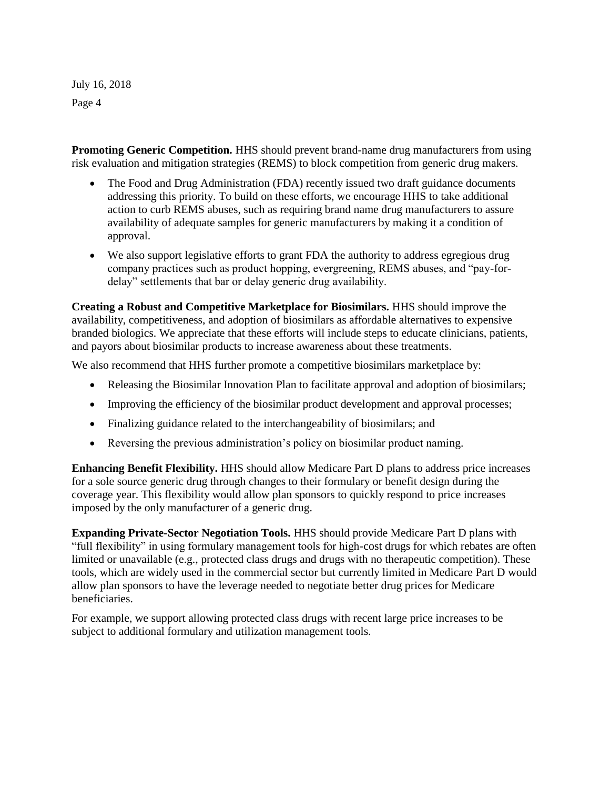**Promoting Generic Competition.** HHS should prevent brand-name drug manufacturers from using risk evaluation and mitigation strategies (REMS) to block competition from generic drug makers.

- The Food and Drug Administration (FDA) recently issued two draft guidance documents addressing this priority. To build on these efforts, we encourage HHS to take additional action to curb REMS abuses, such as requiring brand name drug manufacturers to assure availability of adequate samples for generic manufacturers by making it a condition of approval.
- We also support legislative efforts to grant FDA the authority to address egregious drug company practices such as product hopping, evergreening, REMS abuses, and "pay-fordelay" settlements that bar or delay generic drug availability.

**Creating a Robust and Competitive Marketplace for Biosimilars.** HHS should improve the availability, competitiveness, and adoption of biosimilars as affordable alternatives to expensive branded biologics. We appreciate that these efforts will include steps to educate clinicians, patients, and payors about biosimilar products to increase awareness about these treatments.

We also recommend that HHS further promote a competitive biosimilars marketplace by:

- Releasing the Biosimilar Innovation Plan to facilitate approval and adoption of biosimilars;
- Improving the efficiency of the biosimilar product development and approval processes;
- Finalizing guidance related to the interchangeability of biosimilars; and
- Reversing the previous administration's policy on biosimilar product naming.

**Enhancing Benefit Flexibility.** HHS should allow Medicare Part D plans to address price increases for a sole source generic drug through changes to their formulary or benefit design during the coverage year. This flexibility would allow plan sponsors to quickly respond to price increases imposed by the only manufacturer of a generic drug.

**Expanding Private-Sector Negotiation Tools.** HHS should provide Medicare Part D plans with "full flexibility" in using formulary management tools for high-cost drugs for which rebates are often limited or unavailable (e.g., protected class drugs and drugs with no therapeutic competition). These tools, which are widely used in the commercial sector but currently limited in Medicare Part D would allow plan sponsors to have the leverage needed to negotiate better drug prices for Medicare beneficiaries.

For example, we support allowing protected class drugs with recent large price increases to be subject to additional formulary and utilization management tools.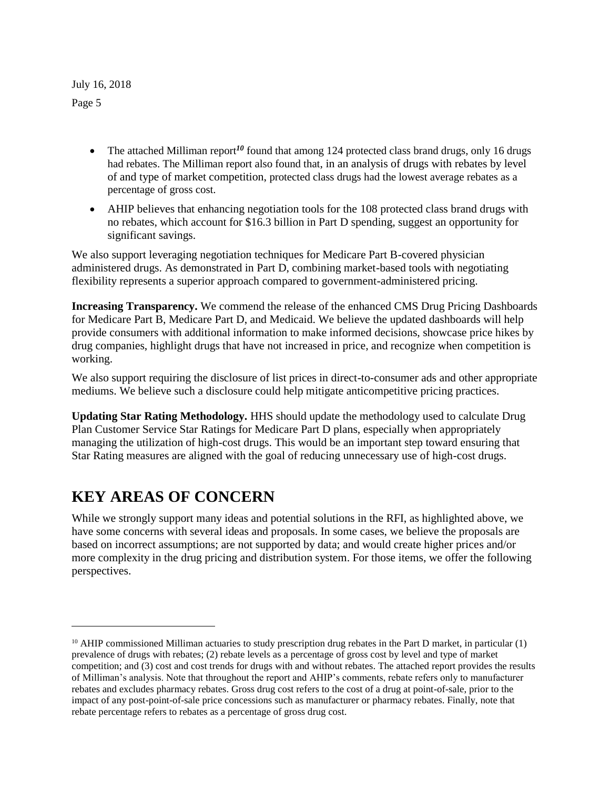- The attached Milliman report<sup>10</sup> found that among 124 protected class brand drugs, only 16 drugs had rebates. The Milliman report also found that, in an analysis of drugs with rebates by level of and type of market competition, protected class drugs had the lowest average rebates as a percentage of gross cost.
- AHIP believes that enhancing negotiation tools for the 108 protected class brand drugs with no rebates, which account for \$16.3 billion in Part D spending, suggest an opportunity for significant savings.

We also support leveraging negotiation techniques for Medicare Part B-covered physician administered drugs. As demonstrated in Part D, combining market-based tools with negotiating flexibility represents a superior approach compared to government-administered pricing.

**Increasing Transparency.** We commend the release of the enhanced CMS Drug Pricing Dashboards for Medicare Part B, Medicare Part D, and Medicaid. We believe the updated dashboards will help provide consumers with additional information to make informed decisions, showcase price hikes by drug companies, highlight drugs that have not increased in price, and recognize when competition is working.

We also support requiring the disclosure of list prices in direct-to-consumer ads and other appropriate mediums. We believe such a disclosure could help mitigate anticompetitive pricing practices.

**Updating Star Rating Methodology.** HHS should update the methodology used to calculate Drug Plan Customer Service Star Ratings for Medicare Part D plans, especially when appropriately managing the utilization of high-cost drugs. This would be an important step toward ensuring that Star Rating measures are aligned with the goal of reducing unnecessary use of high-cost drugs.

#### **KEY AREAS OF CONCERN**

l

While we strongly support many ideas and potential solutions in the RFI, as highlighted above, we have some concerns with several ideas and proposals. In some cases, we believe the proposals are based on incorrect assumptions; are not supported by data; and would create higher prices and/or more complexity in the drug pricing and distribution system. For those items, we offer the following perspectives.

 $10$  AHIP commissioned Milliman actuaries to study prescription drug rebates in the Part D market, in particular (1) prevalence of drugs with rebates; (2) rebate levels as a percentage of gross cost by level and type of market competition; and (3) cost and cost trends for drugs with and without rebates. The attached report provides the results of Milliman's analysis. Note that throughout the report and AHIP's comments, rebate refers only to manufacturer rebates and excludes pharmacy rebates. Gross drug cost refers to the cost of a drug at point-of-sale, prior to the impact of any post-point-of-sale price concessions such as manufacturer or pharmacy rebates. Finally, note that rebate percentage refers to rebates as a percentage of gross drug cost.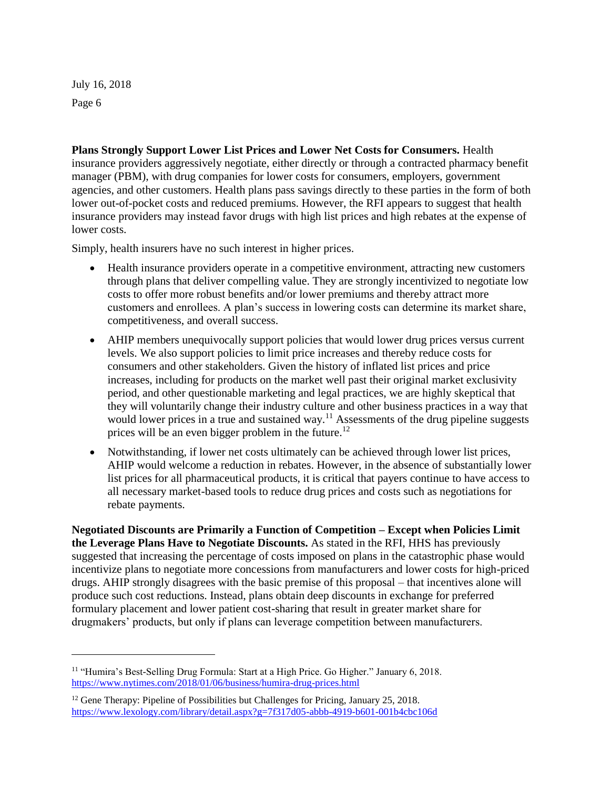l

**Plans Strongly Support Lower List Prices and Lower Net Costs for Consumers.** Health insurance providers aggressively negotiate, either directly or through a contracted pharmacy benefit manager (PBM), with drug companies for lower costs for consumers, employers, government agencies, and other customers. Health plans pass savings directly to these parties in the form of both lower out-of-pocket costs and reduced premiums. However, the RFI appears to suggest that health insurance providers may instead favor drugs with high list prices and high rebates at the expense of lower costs.

Simply, health insurers have no such interest in higher prices.

- Health insurance providers operate in a competitive environment, attracting new customers through plans that deliver compelling value. They are strongly incentivized to negotiate low costs to offer more robust benefits and/or lower premiums and thereby attract more customers and enrollees. A plan's success in lowering costs can determine its market share, competitiveness, and overall success.
- AHIP members unequivocally support policies that would lower drug prices versus current levels. We also support policies to limit price increases and thereby reduce costs for consumers and other stakeholders. Given the history of inflated list prices and price increases, including for products on the market well past their original market exclusivity period, and other questionable marketing and legal practices, we are highly skeptical that they will voluntarily change their industry culture and other business practices in a way that would lower prices in a true and sustained way.<sup>11</sup> Assessments of the drug pipeline suggests prices will be an even bigger problem in the future.<sup>12</sup>
- Notwithstanding, if lower net costs ultimately can be achieved through lower list prices, AHIP would welcome a reduction in rebates. However, in the absence of substantially lower list prices for all pharmaceutical products, it is critical that payers continue to have access to all necessary market-based tools to reduce drug prices and costs such as negotiations for rebate payments.

**Negotiated Discounts are Primarily a Function of Competition – Except when Policies Limit the Leverage Plans Have to Negotiate Discounts.** As stated in the RFI, HHS has previously suggested that increasing the percentage of costs imposed on plans in the catastrophic phase would incentivize plans to negotiate more concessions from manufacturers and lower costs for high-priced drugs. AHIP strongly disagrees with the basic premise of this proposal – that incentives alone will produce such cost reductions. Instead, plans obtain deep discounts in exchange for preferred formulary placement and lower patient cost-sharing that result in greater market share for drugmakers' products, but only if plans can leverage competition between manufacturers.

<sup>11</sup> "Humira's Best-Selling Drug Formula: Start at a High Price. Go Higher." January 6, 2018. <https://www.nytimes.com/2018/01/06/business/humira-drug-prices.html>

<sup>&</sup>lt;sup>12</sup> Gene Therapy: Pipeline of Possibilities but Challenges for Pricing, January 25, 2018. <https://www.lexology.com/library/detail.aspx?g=7f317d05-abbb-4919-b601-001b4cbc106d>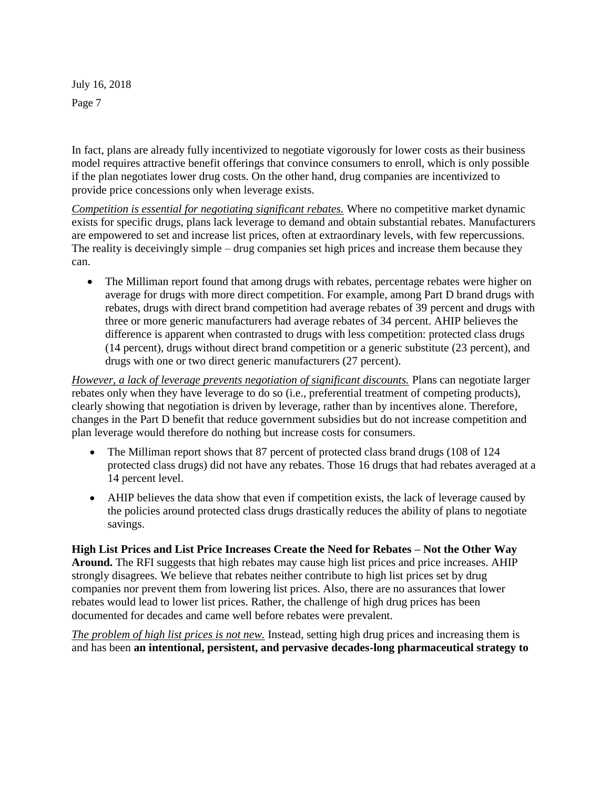In fact, plans are already fully incentivized to negotiate vigorously for lower costs as their business model requires attractive benefit offerings that convince consumers to enroll, which is only possible if the plan negotiates lower drug costs. On the other hand, drug companies are incentivized to provide price concessions only when leverage exists.

*Competition is essential for negotiating significant rebates.* Where no competitive market dynamic exists for specific drugs, plans lack leverage to demand and obtain substantial rebates. Manufacturers are empowered to set and increase list prices, often at extraordinary levels, with few repercussions. The reality is deceivingly simple – drug companies set high prices and increase them because they can.

The Milliman report found that among drugs with rebates, percentage rebates were higher on average for drugs with more direct competition. For example, among Part D brand drugs with rebates, drugs with direct brand competition had average rebates of 39 percent and drugs with three or more generic manufacturers had average rebates of 34 percent. AHIP believes the difference is apparent when contrasted to drugs with less competition: protected class drugs (14 percent), drugs without direct brand competition or a generic substitute (23 percent), and drugs with one or two direct generic manufacturers (27 percent).

*However, a lack of leverage prevents negotiation of significant discounts.* Plans can negotiate larger rebates only when they have leverage to do so (i.e., preferential treatment of competing products), clearly showing that negotiation is driven by leverage, rather than by incentives alone. Therefore, changes in the Part D benefit that reduce government subsidies but do not increase competition and plan leverage would therefore do nothing but increase costs for consumers.

- The Milliman report shows that 87 percent of protected class brand drugs (108 of 124) protected class drugs) did not have any rebates. Those 16 drugs that had rebates averaged at a 14 percent level.
- AHIP believes the data show that even if competition exists, the lack of leverage caused by the policies around protected class drugs drastically reduces the ability of plans to negotiate savings.

**High List Prices and List Price Increases Create the Need for Rebates – Not the Other Way Around.** The RFI suggests that high rebates may cause high list prices and price increases. AHIP strongly disagrees. We believe that rebates neither contribute to high list prices set by drug companies nor prevent them from lowering list prices. Also, there are no assurances that lower rebates would lead to lower list prices. Rather, the challenge of high drug prices has been documented for decades and came well before rebates were prevalent.

*The problem of high list prices is not new.* Instead, setting high drug prices and increasing them is and has been **an intentional, persistent, and pervasive decades-long pharmaceutical strategy to**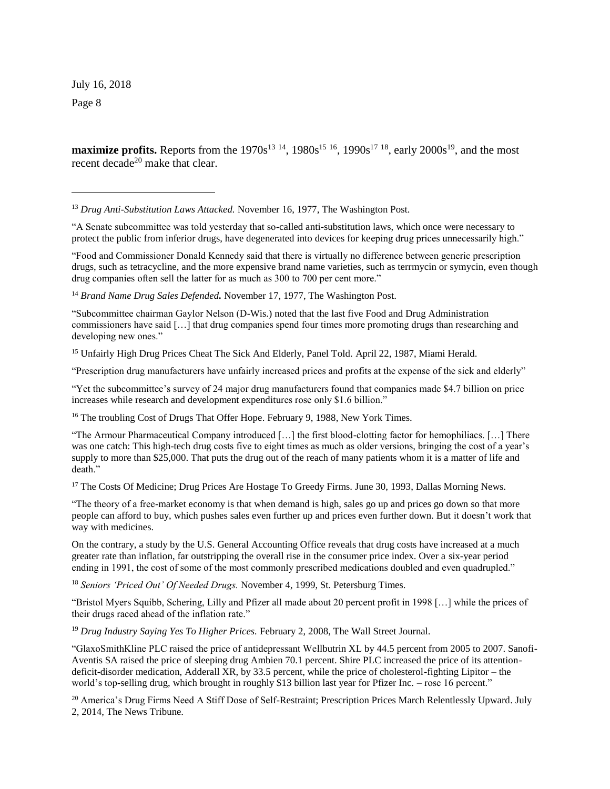July 16, 2018

Page 8

l

**maximize profits.** Reports from the  $1970s^{13}$  <sup>14</sup>,  $1980s^{15}$  <sup>16</sup>,  $1990s^{17}$  <sup>18</sup>, early  $2000s^{19}$ , and the most recent decade<sup>20</sup> make that clear.

<sup>13</sup> *Drug Anti-Substitution Laws Attacked.* November 16, 1977, The Washington Post.

"A Senate subcommittee was told yesterday that so-called anti-substitution laws, which once were necessary to protect the public from inferior drugs, have degenerated into devices for keeping drug prices unnecessarily high."

"Food and Commissioner Donald Kennedy said that there is virtually no difference between generic prescription drugs, such as tetracycline, and the more expensive brand name varieties, such as terrmycin or symycin, even though drug companies often sell the latter for as much as 300 to 700 per cent more."

<sup>14</sup> Brand Name Drug Sales Defended. November 17, 1977, The Washington Post.

"Subcommittee chairman Gaylor Nelson (D-Wis.) noted that the last five Food and Drug Administration commissioners have said […] that drug companies spend four times more promoting drugs than researching and developing new ones."

<sup>15</sup> Unfairly High Drug Prices Cheat The Sick And Elderly, Panel Told. April 22, 1987, Miami Herald.

"Prescription drug manufacturers have unfairly increased prices and profits at the expense of the sick and elderly"

"Yet the subcommittee's survey of 24 major drug manufacturers found that companies made \$4.7 billion on price increases while research and development expenditures rose only \$1.6 billion."

<sup>16</sup> The troubling Cost of Drugs That Offer Hope. February 9, 1988, New York Times.

"The Armour Pharmaceutical Company introduced […] the first blood-clotting factor for hemophiliacs. […] There was one catch: This high-tech drug costs five to eight times as much as older versions, bringing the cost of a year's supply to more than \$25,000. That puts the drug out of the reach of many patients whom it is a matter of life and death."

<sup>17</sup> The Costs Of Medicine; Drug Prices Are Hostage To Greedy Firms. June 30, 1993, Dallas Morning News.

"The theory of a free-market economy is that when demand is high, sales go up and prices go down so that more people can afford to buy, which pushes sales even further up and prices even further down. But it doesn't work that way with medicines.

On the contrary, a study by the U.S. General Accounting Office reveals that drug costs have increased at a much greater rate than inflation, far outstripping the overall rise in the consumer price index. Over a six-year period ending in 1991, the cost of some of the most commonly prescribed medications doubled and even quadrupled."

<sup>18</sup> *Seniors 'Priced Out' Of Needed Drugs.* November 4, 1999, St. Petersburg Times.

"Bristol Myers Squibb, Schering, Lilly and Pfizer all made about 20 percent profit in 1998 […] while the prices of their drugs raced ahead of the inflation rate."

<sup>19</sup> *Drug Industry Saying Yes To Higher Prices.* February 2, 2008, The Wall Street Journal.

"GlaxoSmithKline PLC raised the price of antidepressant Wellbutrin XL by 44.5 percent from 2005 to 2007. Sanofi-Aventis SA raised the price of sleeping drug Ambien 70.1 percent. Shire PLC increased the price of its attentiondeficit-disorder medication, Adderall XR, by 33.5 percent, while the price of cholesterol-fighting Lipitor – the world's top-selling drug, which brought in roughly \$13 billion last year for Pfizer Inc. – rose 16 percent."

<sup>20</sup> America's Drug Firms Need A Stiff Dose of Self-Restraint; Prescription Prices March Relentlessly Upward. July 2, 2014, The News Tribune.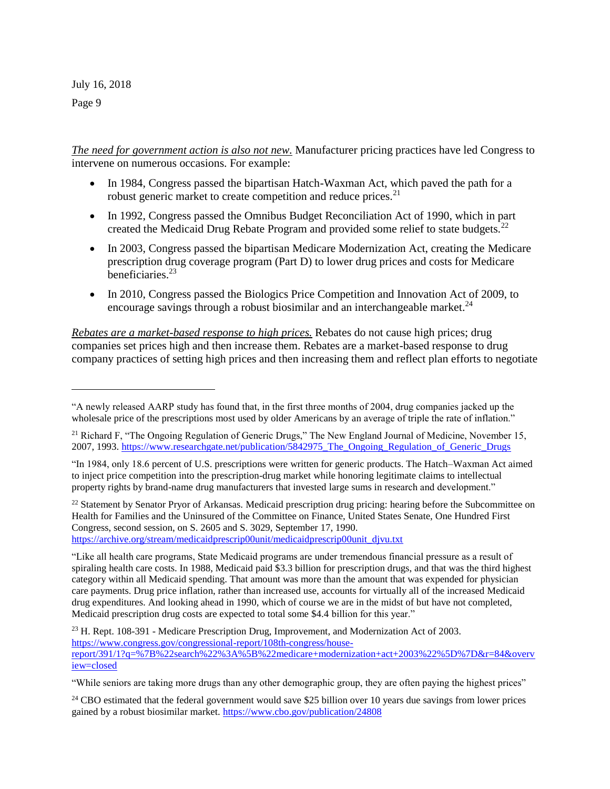l

*The need for government action is also not new.* Manufacturer pricing practices have led Congress to intervene on numerous occasions. For example:

- In 1984, Congress passed the bipartisan Hatch-Waxman Act, which paved the path for a robust generic market to create competition and reduce prices.<sup>21</sup>
- In 1992, Congress passed the Omnibus Budget Reconciliation Act of 1990, which in part created the Medicaid Drug Rebate Program and provided some relief to state budgets.<sup>22</sup>
- In 2003, Congress passed the bipartisan Medicare Modernization Act, creating the Medicare prescription drug coverage program (Part D) to lower drug prices and costs for Medicare beneficiaries.<sup>23</sup>
- In 2010, Congress passed the Biologics Price Competition and Innovation Act of 2009, to encourage savings through a robust biosimilar and an interchangeable market.<sup>24</sup>

*Rebates are a market-based response to high prices.* Rebates do not cause high prices; drug companies set prices high and then increase them. Rebates are a market-based response to drug company practices of setting high prices and then increasing them and reflect plan efforts to negotiate

<sup>22</sup> Statement by Senator Pryor of Arkansas. Medicaid prescription drug pricing: hearing before the Subcommittee on Health for Families and the Uninsured of the Committee on Finance, United States Senate, One Hundred First Congress, second session, on S. 2605 and S. 3029, September 17, 1990. [https://archive.org/stream/medicaidprescrip00unit/medicaidprescrip00unit\\_djvu.txt](https://archive.org/stream/medicaidprescrip00unit/medicaidprescrip00unit_djvu.txt)

<sup>24</sup> CBO estimated that the federal government would save \$25 billion over 10 years due savings from lower prices gained by a robust biosimilar market.<https://www.cbo.gov/publication/24808>

<sup>&</sup>quot;A newly released AARP study has found that, in the first three months of 2004, drug companies jacked up the wholesale price of the prescriptions most used by older Americans by an average of triple the rate of inflation."

<sup>&</sup>lt;sup>21</sup> Richard F, "The Ongoing Regulation of Generic Drugs," The New England Journal of Medicine, November 15, 2007, 1993. [https://www.researchgate.net/publication/5842975\\_The\\_Ongoing\\_Regulation\\_of\\_Generic\\_Drugs](https://www.researchgate.net/publication/5842975_The_Ongoing_Regulation_of_Generic_Drugs)

<sup>&</sup>quot;In 1984, only 18.6 percent of U.S. prescriptions were written for generic products. The Hatch–Waxman Act aimed to inject price competition into the prescription-drug market while honoring legitimate claims to intellectual property rights by brand-name drug manufacturers that invested large sums in research and development."

<sup>&</sup>quot;Like all health care programs, State Medicaid programs are under tremendous financial pressure as a result of spiraling health care costs. In 1988, Medicaid paid \$3.3 billion for prescription drugs, and that was the third highest category within all Medicaid spending. That amount was more than the amount that was expended for physician care payments. Drug price inflation, rather than increased use, accounts for virtually all of the increased Medicaid drug expenditures. And looking ahead in 1990, which of course we are in the midst of but have not completed, Medicaid prescription drug costs are expected to total some \$4.4 billion for this year."

<sup>&</sup>lt;sup>23</sup> H. Rept. 108-391 - Medicare Prescription Drug, Improvement, and Modernization Act of 2003. [https://www.congress.gov/congressional-report/108th-congress/house](https://www.congress.gov/congressional-report/108th-congress/house-report/391/1?q=%7B%22search%22%3A%5B%22medicare+modernization+act+2003%22%5D%7D&r=84&overview=closed)[report/391/1?q=%7B%22search%22%3A%5B%22medicare+modernization+act+2003%22%5D%7D&r=84&overv](https://www.congress.gov/congressional-report/108th-congress/house-report/391/1?q=%7B%22search%22%3A%5B%22medicare+modernization+act+2003%22%5D%7D&r=84&overview=closed) [iew=closed](https://www.congress.gov/congressional-report/108th-congress/house-report/391/1?q=%7B%22search%22%3A%5B%22medicare+modernization+act+2003%22%5D%7D&r=84&overview=closed)

<sup>&</sup>quot;While seniors are taking more drugs than any other demographic group, they are often paying the highest prices"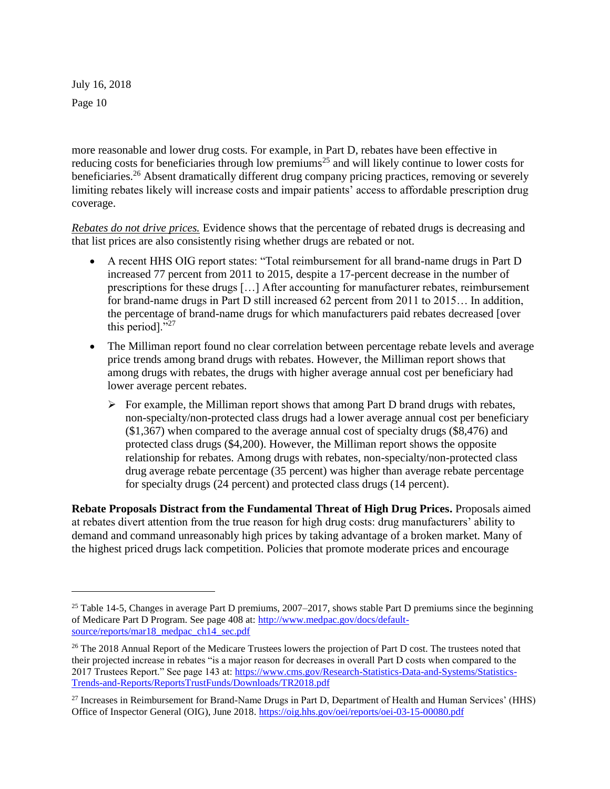l

more reasonable and lower drug costs. For example, in Part D, rebates have been effective in reducing costs for beneficiaries through low premiums<sup>25</sup> and will likely continue to lower costs for beneficiaries.<sup>26</sup> Absent dramatically different drug company pricing practices, removing or severely limiting rebates likely will increase costs and impair patients' access to affordable prescription drug coverage.

*Rebates do not drive prices.* Evidence shows that the percentage of rebated drugs is decreasing and that list prices are also consistently rising whether drugs are rebated or not.

- A recent HHS OIG report states: "Total reimbursement for all brand-name drugs in Part D increased 77 percent from 2011 to 2015, despite a 17-percent decrease in the number of prescriptions for these drugs […] After accounting for manufacturer rebates, reimbursement for brand-name drugs in Part D still increased 62 percent from 2011 to 2015… In addition, the percentage of brand-name drugs for which manufacturers paid rebates decreased [over this period]."<sup>27</sup>
- The Milliman report found no clear correlation between percentage rebate levels and average price trends among brand drugs with rebates. However, the Milliman report shows that among drugs with rebates, the drugs with higher average annual cost per beneficiary had lower average percent rebates.
	- ➢ For example, the Milliman report shows that among Part D brand drugs with rebates, non-specialty/non-protected class drugs had a lower average annual cost per beneficiary (\$1,367) when compared to the average annual cost of specialty drugs (\$8,476) and protected class drugs (\$4,200). However, the Milliman report shows the opposite relationship for rebates. Among drugs with rebates, non-specialty/non-protected class drug average rebate percentage (35 percent) was higher than average rebate percentage for specialty drugs (24 percent) and protected class drugs (14 percent).

**Rebate Proposals Distract from the Fundamental Threat of High Drug Prices.** Proposals aimed at rebates divert attention from the true reason for high drug costs: drug manufacturers' ability to demand and command unreasonably high prices by taking advantage of a broken market. Many of the highest priced drugs lack competition. Policies that promote moderate prices and encourage

<sup>&</sup>lt;sup>25</sup> Table 14-5, Changes in average Part D premiums, 2007–2017, shows stable Part D premiums since the beginning of Medicare Part D Program. See page 408 at: [http://www.medpac.gov/docs/default](http://www.medpac.gov/docs/default-source/reports/mar18_medpac_ch14_sec.pdf)[source/reports/mar18\\_medpac\\_ch14\\_sec.pdf](http://www.medpac.gov/docs/default-source/reports/mar18_medpac_ch14_sec.pdf)

<sup>&</sup>lt;sup>26</sup> The 2018 Annual Report of the Medicare Trustees lowers the projection of Part D cost. The trustees noted that their projected increase in rebates "is a major reason for decreases in overall Part D costs when compared to the 2017 Trustees Report." See page 143 at: [https://www.cms.gov/Research-Statistics-Data-and-Systems/Statistics-](https://www.cms.gov/Research-Statistics-Data-and-Systems/Statistics-Trends-and-Reports/ReportsTrustFunds/Downloads/TR2018.pdf)[Trends-and-Reports/ReportsTrustFunds/Downloads/TR2018.pdf](https://www.cms.gov/Research-Statistics-Data-and-Systems/Statistics-Trends-and-Reports/ReportsTrustFunds/Downloads/TR2018.pdf)

<sup>&</sup>lt;sup>27</sup> Increases in Reimbursement for Brand-Name Drugs in Part D, Department of Health and Human Services' (HHS) Office of Inspector General (OIG), June 2018.<https://oig.hhs.gov/oei/reports/oei-03-15-00080.pdf>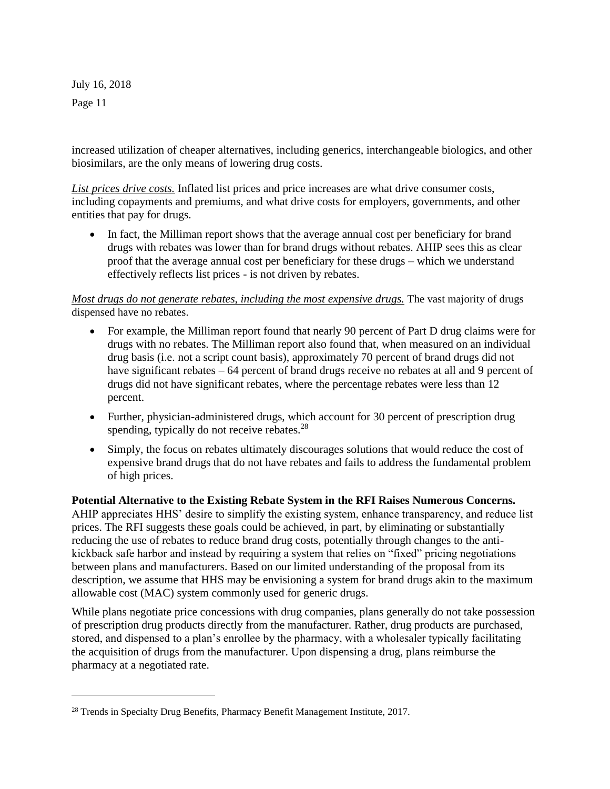l

increased utilization of cheaper alternatives, including generics, interchangeable biologics, and other biosimilars, are the only means of lowering drug costs.

*List prices drive costs.* Inflated list prices and price increases are what drive consumer costs, including copayments and premiums, and what drive costs for employers, governments, and other entities that pay for drugs.

• In fact, the Milliman report shows that the average annual cost per beneficiary for brand drugs with rebates was lower than for brand drugs without rebates. AHIP sees this as clear proof that the average annual cost per beneficiary for these drugs – which we understand effectively reflects list prices - is not driven by rebates.

#### *Most drugs do not generate rebates, including the most expensive drugs.* The vast majority of drugs dispensed have no rebates.

- For example, the Milliman report found that nearly 90 percent of Part D drug claims were for drugs with no rebates. The Milliman report also found that, when measured on an individual drug basis (i.e. not a script count basis), approximately 70 percent of brand drugs did not have significant rebates – 64 percent of brand drugs receive no rebates at all and 9 percent of drugs did not have significant rebates, where the percentage rebates were less than 12 percent.
- Further, physician-administered drugs, which account for 30 percent of prescription drug spending, typically do not receive rebates. $28$
- Simply, the focus on rebates ultimately discourages solutions that would reduce the cost of expensive brand drugs that do not have rebates and fails to address the fundamental problem of high prices.

**Potential Alternative to the Existing Rebate System in the RFI Raises Numerous Concerns.** AHIP appreciates HHS' desire to simplify the existing system, enhance transparency, and reduce list prices. The RFI suggests these goals could be achieved, in part, by eliminating or substantially reducing the use of rebates to reduce brand drug costs, potentially through changes to the antikickback safe harbor and instead by requiring a system that relies on "fixed" pricing negotiations between plans and manufacturers. Based on our limited understanding of the proposal from its description, we assume that HHS may be envisioning a system for brand drugs akin to the maximum allowable cost (MAC) system commonly used for generic drugs.

While plans negotiate price concessions with drug companies, plans generally do not take possession of prescription drug products directly from the manufacturer. Rather, drug products are purchased, stored, and dispensed to a plan's enrollee by the pharmacy, with a wholesaler typically facilitating the acquisition of drugs from the manufacturer. Upon dispensing a drug, plans reimburse the pharmacy at a negotiated rate.

<sup>&</sup>lt;sup>28</sup> Trends in Specialty Drug Benefits, Pharmacy Benefit Management Institute, 2017.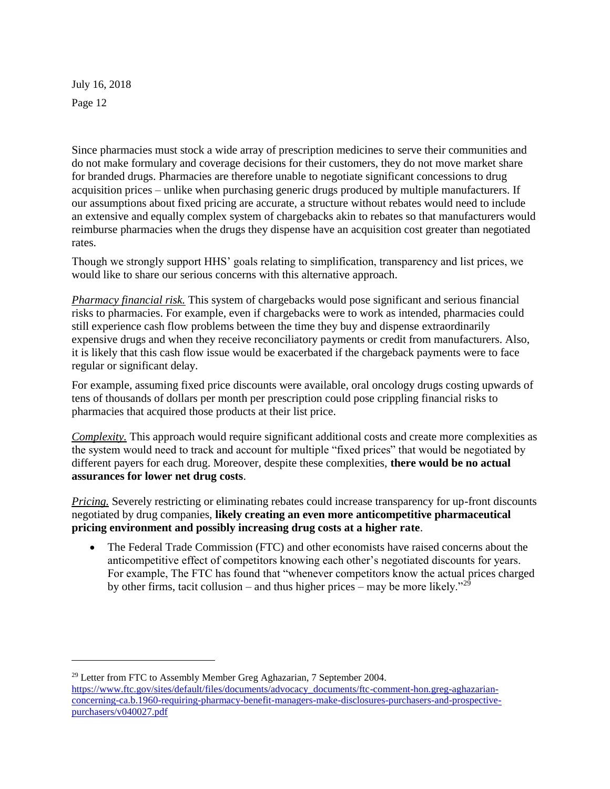l

Since pharmacies must stock a wide array of prescription medicines to serve their communities and do not make formulary and coverage decisions for their customers, they do not move market share for branded drugs. Pharmacies are therefore unable to negotiate significant concessions to drug acquisition prices – unlike when purchasing generic drugs produced by multiple manufacturers. If our assumptions about fixed pricing are accurate, a structure without rebates would need to include an extensive and equally complex system of chargebacks akin to rebates so that manufacturers would reimburse pharmacies when the drugs they dispense have an acquisition cost greater than negotiated rates.

Though we strongly support HHS' goals relating to simplification, transparency and list prices, we would like to share our serious concerns with this alternative approach.

*Pharmacy financial risk.* This system of chargebacks would pose significant and serious financial risks to pharmacies. For example, even if chargebacks were to work as intended, pharmacies could still experience cash flow problems between the time they buy and dispense extraordinarily expensive drugs and when they receive reconciliatory payments or credit from manufacturers. Also, it is likely that this cash flow issue would be exacerbated if the chargeback payments were to face regular or significant delay.

For example, assuming fixed price discounts were available, oral oncology drugs costing upwards of tens of thousands of dollars per month per prescription could pose crippling financial risks to pharmacies that acquired those products at their list price.

*Complexity.* This approach would require significant additional costs and create more complexities as the system would need to track and account for multiple "fixed prices" that would be negotiated by different payers for each drug. Moreover, despite these complexities, **there would be no actual assurances for lower net drug costs**.

*Pricing.* Severely restricting or eliminating rebates could increase transparency for up-front discounts negotiated by drug companies, **likely creating an even more anticompetitive pharmaceutical pricing environment and possibly increasing drug costs at a higher rate**.

• The Federal Trade Commission (FTC) and other economists have raised concerns about the anticompetitive effect of competitors knowing each other's negotiated discounts for years. For example, The FTC has found that "whenever competitors know the actual prices charged by other firms, tacit collusion – and thus higher prices – may be more likely.<sup>229</sup>

<sup>29</sup> Letter from FTC to Assembly Member Greg Aghazarian, 7 September 2004.

[https://www.ftc.gov/sites/default/files/documents/advocacy\\_documents/ftc-comment-hon.greg-aghazarian](https://www.ftc.gov/sites/default/files/documents/advocacy_documents/ftc-comment-hon.greg-aghazarian-concerning-ca.b.1960-requiring-pharmacy-benefit-managers-make-disclosures-purchasers-and-prospective-purchasers/v040027.pdf)[concerning-ca.b.1960-requiring-pharmacy-benefit-managers-make-disclosures-purchasers-and-prospective](https://www.ftc.gov/sites/default/files/documents/advocacy_documents/ftc-comment-hon.greg-aghazarian-concerning-ca.b.1960-requiring-pharmacy-benefit-managers-make-disclosures-purchasers-and-prospective-purchasers/v040027.pdf)[purchasers/v040027.pdf](https://www.ftc.gov/sites/default/files/documents/advocacy_documents/ftc-comment-hon.greg-aghazarian-concerning-ca.b.1960-requiring-pharmacy-benefit-managers-make-disclosures-purchasers-and-prospective-purchasers/v040027.pdf)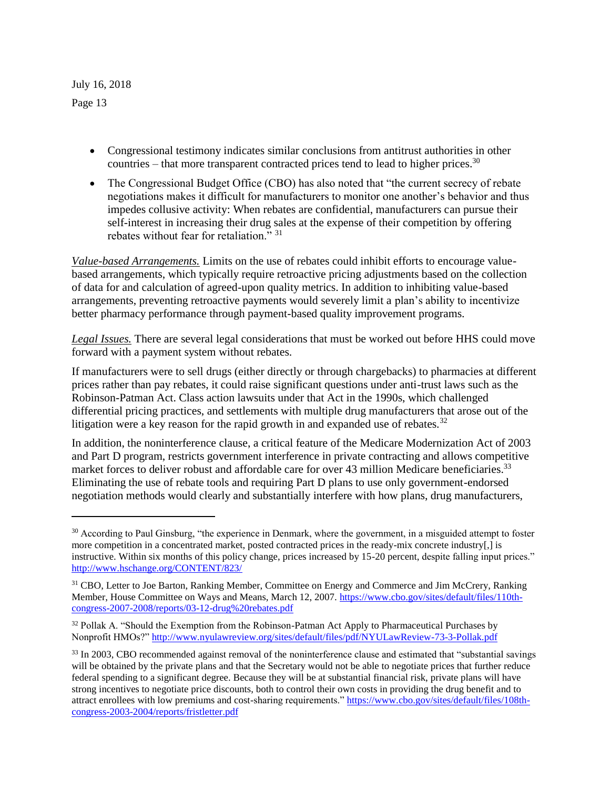l

- Congressional testimony indicates similar conclusions from antitrust authorities in other countries – that more transparent contracted prices tend to lead to higher prices. $30$
- The Congressional Budget Office (CBO) has also noted that "the current secrecy of rebate negotiations makes it difficult for manufacturers to monitor one another's behavior and thus impedes collusive activity: When rebates are confidential, manufacturers can pursue their self-interest in increasing their drug sales at the expense of their competition by offering rebates without fear for retaliation." 31

*Value-based Arrangements.* Limits on the use of rebates could inhibit efforts to encourage valuebased arrangements, which typically require retroactive pricing adjustments based on the collection of data for and calculation of agreed-upon quality metrics. In addition to inhibiting value-based arrangements, preventing retroactive payments would severely limit a plan's ability to incentivize better pharmacy performance through payment-based quality improvement programs.

*Legal Issues.* There are several legal considerations that must be worked out before HHS could move forward with a payment system without rebates.

If manufacturers were to sell drugs (either directly or through chargebacks) to pharmacies at different prices rather than pay rebates, it could raise significant questions under anti-trust laws such as the Robinson-Patman Act. Class action lawsuits under that Act in the 1990s, which challenged differential pricing practices, and settlements with multiple drug manufacturers that arose out of the litigation were a key reason for the rapid growth in and expanded use of rebates.<sup>32</sup>

In addition, the noninterference clause, a critical feature of the Medicare Modernization Act of 2003 and Part D program, restricts government interference in private contracting and allows competitive market forces to deliver robust and affordable care for over 43 million Medicare beneficiaries.<sup>33</sup> Eliminating the use of rebate tools and requiring Part D plans to use only government-endorsed negotiation methods would clearly and substantially interfere with how plans, drug manufacturers,

<sup>&</sup>lt;sup>30</sup> According to Paul Ginsburg, "the experience in Denmark, where the government, in a misguided attempt to foster more competition in a concentrated market, posted contracted prices in the ready-mix concrete industry[,] is instructive. Within six months of this policy change, prices increased by 15-20 percent, despite falling input prices." <http://www.hschange.org/CONTENT/823/>

<sup>&</sup>lt;sup>31</sup> CBO, Letter to Joe Barton, Ranking Member, Committee on Energy and Commerce and Jim McCrery, Ranking Member, House Committee on Ways and Means, March 12, 2007. [https://www.cbo.gov/sites/default/files/110th](https://www.cbo.gov/sites/default/files/110th-congress-2007-2008/reports/03-12-drug%20rebates.pdf)[congress-2007-2008/reports/03-12-drug%20rebates.pdf](https://www.cbo.gov/sites/default/files/110th-congress-2007-2008/reports/03-12-drug%20rebates.pdf)

<sup>&</sup>lt;sup>32</sup> Pollak A. "Should the Exemption from the Robinson-Patman Act Apply to Pharmaceutical Purchases by Nonprofit HMOs?"<http://www.nyulawreview.org/sites/default/files/pdf/NYULawReview-73-3-Pollak.pdf>

<sup>&</sup>lt;sup>33</sup> In 2003, CBO recommended against removal of the noninterference clause and estimated that "substantial savings" will be obtained by the private plans and that the Secretary would not be able to negotiate prices that further reduce federal spending to a significant degree. Because they will be at substantial financial risk, private plans will have strong incentives to negotiate price discounts, both to control their own costs in providing the drug benefit and to attract enrollees with low premiums and cost-sharing requirements." [https://www.cbo.gov/sites/default/files/108th](https://www.cbo.gov/sites/default/files/108th-congress-2003-2004/reports/fristletter.pdf)[congress-2003-2004/reports/fristletter.pdf](https://www.cbo.gov/sites/default/files/108th-congress-2003-2004/reports/fristletter.pdf)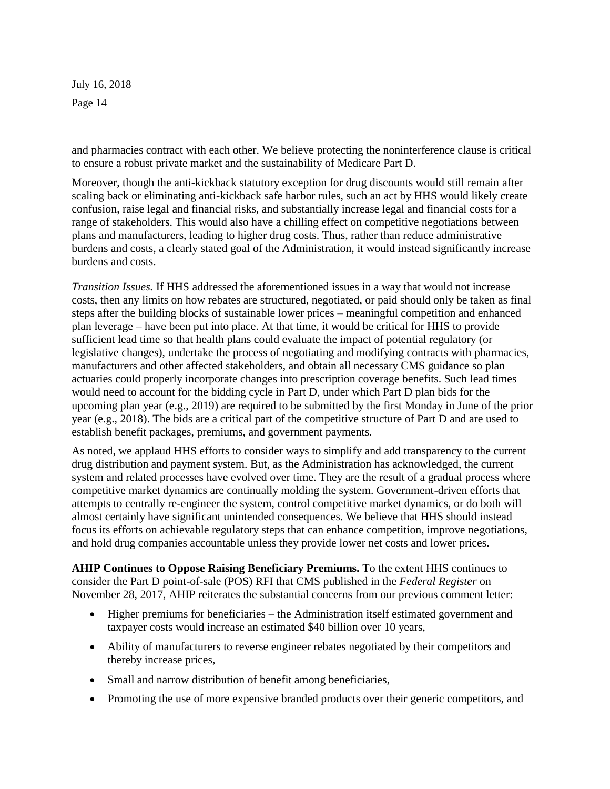and pharmacies contract with each other. We believe protecting the noninterference clause is critical to ensure a robust private market and the sustainability of Medicare Part D.

Moreover, though the anti-kickback statutory exception for drug discounts would still remain after scaling back or eliminating anti-kickback safe harbor rules, such an act by HHS would likely create confusion, raise legal and financial risks, and substantially increase legal and financial costs for a range of stakeholders. This would also have a chilling effect on competitive negotiations between plans and manufacturers, leading to higher drug costs. Thus, rather than reduce administrative burdens and costs, a clearly stated goal of the Administration, it would instead significantly increase burdens and costs.

*Transition Issues.* If HHS addressed the aforementioned issues in a way that would not increase costs, then any limits on how rebates are structured, negotiated, or paid should only be taken as final steps after the building blocks of sustainable lower prices – meaningful competition and enhanced plan leverage – have been put into place. At that time, it would be critical for HHS to provide sufficient lead time so that health plans could evaluate the impact of potential regulatory (or legislative changes), undertake the process of negotiating and modifying contracts with pharmacies, manufacturers and other affected stakeholders, and obtain all necessary CMS guidance so plan actuaries could properly incorporate changes into prescription coverage benefits. Such lead times would need to account for the bidding cycle in Part D, under which Part D plan bids for the upcoming plan year (e.g., 2019) are required to be submitted by the first Monday in June of the prior year (e.g., 2018). The bids are a critical part of the competitive structure of Part D and are used to establish benefit packages, premiums, and government payments.

As noted, we applaud HHS efforts to consider ways to simplify and add transparency to the current drug distribution and payment system. But, as the Administration has acknowledged, the current system and related processes have evolved over time. They are the result of a gradual process where competitive market dynamics are continually molding the system. Government-driven efforts that attempts to centrally re-engineer the system, control competitive market dynamics, or do both will almost certainly have significant unintended consequences. We believe that HHS should instead focus its efforts on achievable regulatory steps that can enhance competition, improve negotiations, and hold drug companies accountable unless they provide lower net costs and lower prices.

**AHIP Continues to Oppose Raising Beneficiary Premiums.** To the extent HHS continues to consider the Part D point-of-sale (POS) RFI that CMS published in the *Federal Register* on November 28, 2017, AHIP reiterates the substantial concerns from our previous comment letter:

- Higher premiums for beneficiaries the Administration itself estimated government and taxpayer costs would increase an estimated \$40 billion over 10 years,
- Ability of manufacturers to reverse engineer rebates negotiated by their competitors and thereby increase prices,
- Small and narrow distribution of benefit among beneficiaries,
- Promoting the use of more expensive branded products over their generic competitors, and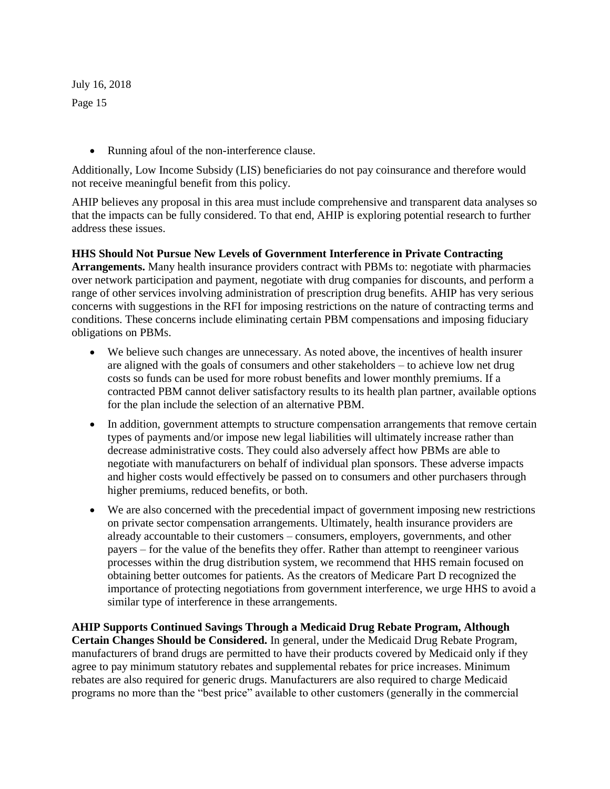• Running afoul of the non-interference clause.

Additionally, Low Income Subsidy (LIS) beneficiaries do not pay coinsurance and therefore would not receive meaningful benefit from this policy.

AHIP believes any proposal in this area must include comprehensive and transparent data analyses so that the impacts can be fully considered. To that end, AHIP is exploring potential research to further address these issues.

#### **HHS Should Not Pursue New Levels of Government Interference in Private Contracting**

**Arrangements.** Many health insurance providers contract with PBMs to: negotiate with pharmacies over network participation and payment, negotiate with drug companies for discounts, and perform a range of other services involving administration of prescription drug benefits. AHIP has very serious concerns with suggestions in the RFI for imposing restrictions on the nature of contracting terms and conditions. These concerns include eliminating certain PBM compensations and imposing fiduciary obligations on PBMs.

- We believe such changes are unnecessary. As noted above, the incentives of health insurer are aligned with the goals of consumers and other stakeholders – to achieve low net drug costs so funds can be used for more robust benefits and lower monthly premiums. If a contracted PBM cannot deliver satisfactory results to its health plan partner, available options for the plan include the selection of an alternative PBM.
- In addition, government attempts to structure compensation arrangements that remove certain types of payments and/or impose new legal liabilities will ultimately increase rather than decrease administrative costs. They could also adversely affect how PBMs are able to negotiate with manufacturers on behalf of individual plan sponsors. These adverse impacts and higher costs would effectively be passed on to consumers and other purchasers through higher premiums, reduced benefits, or both.
- We are also concerned with the precedential impact of government imposing new restrictions on private sector compensation arrangements. Ultimately, health insurance providers are already accountable to their customers – consumers, employers, governments, and other payers – for the value of the benefits they offer. Rather than attempt to reengineer various processes within the drug distribution system, we recommend that HHS remain focused on obtaining better outcomes for patients. As the creators of Medicare Part D recognized the importance of protecting negotiations from government interference, we urge HHS to avoid a similar type of interference in these arrangements.

**AHIP Supports Continued Savings Through a Medicaid Drug Rebate Program, Although Certain Changes Should be Considered.** In general, under the Medicaid Drug Rebate Program, manufacturers of brand drugs are permitted to have their products covered by Medicaid only if they agree to pay minimum statutory rebates and supplemental rebates for price increases. Minimum rebates are also required for generic drugs. Manufacturers are also required to charge Medicaid programs no more than the "best price" available to other customers (generally in the commercial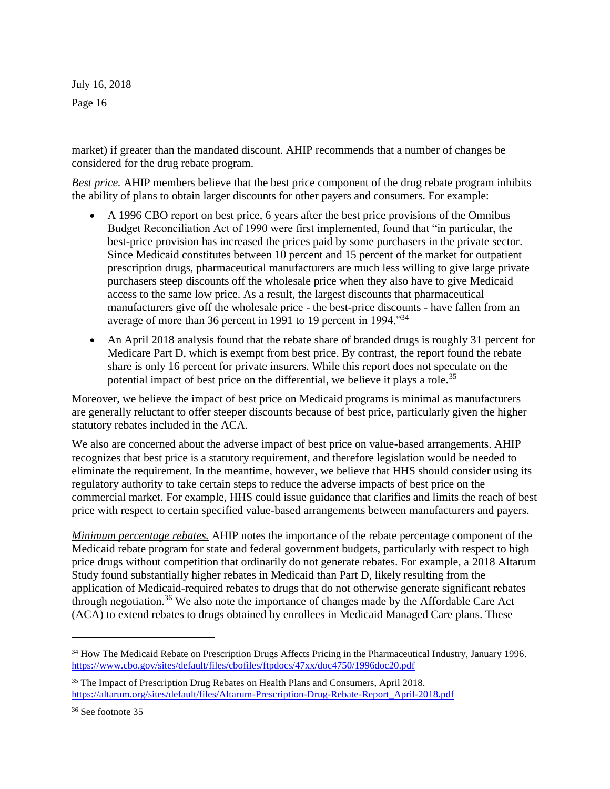market) if greater than the mandated discount. AHIP recommends that a number of changes be considered for the drug rebate program.

*Best price.* AHIP members believe that the best price component of the drug rebate program inhibits the ability of plans to obtain larger discounts for other payers and consumers. For example:

- A 1996 CBO report on best price, 6 years after the best price provisions of the Omnibus Budget Reconciliation Act of 1990 were first implemented, found that "in particular, the best-price provision has increased the prices paid by some purchasers in the private sector. Since Medicaid constitutes between 10 percent and 15 percent of the market for outpatient prescription drugs, pharmaceutical manufacturers are much less willing to give large private purchasers steep discounts off the wholesale price when they also have to give Medicaid access to the same low price. As a result, the largest discounts that pharmaceutical manufacturers give off the wholesale price - the best-price discounts - have fallen from an average of more than 36 percent in 1991 to 19 percent in 1994.<sup>34</sup>
- An April 2018 analysis found that the rebate share of branded drugs is roughly 31 percent for Medicare Part D, which is exempt from best price. By contrast, the report found the rebate share is only 16 percent for private insurers. While this report does not speculate on the potential impact of best price on the differential, we believe it plays a role.<sup>35</sup>

Moreover, we believe the impact of best price on Medicaid programs is minimal as manufacturers are generally reluctant to offer steeper discounts because of best price, particularly given the higher statutory rebates included in the ACA.

We also are concerned about the adverse impact of best price on value-based arrangements. AHIP recognizes that best price is a statutory requirement, and therefore legislation would be needed to eliminate the requirement. In the meantime, however, we believe that HHS should consider using its regulatory authority to take certain steps to reduce the adverse impacts of best price on the commercial market. For example, HHS could issue guidance that clarifies and limits the reach of best price with respect to certain specified value-based arrangements between manufacturers and payers.

*Minimum percentage rebates.* AHIP notes the importance of the rebate percentage component of the Medicaid rebate program for state and federal government budgets, particularly with respect to high price drugs without competition that ordinarily do not generate rebates. For example, a 2018 Altarum Study found substantially higher rebates in Medicaid than Part D, likely resulting from the application of Medicaid-required rebates to drugs that do not otherwise generate significant rebates through negotiation.<sup>36</sup> We also note the importance of changes made by the Affordable Care Act (ACA) to extend rebates to drugs obtained by enrollees in Medicaid Managed Care plans. These

 $\overline{a}$ 

<sup>&</sup>lt;sup>34</sup> How The Medicaid Rebate on Prescription Drugs Affects Pricing in the Pharmaceutical Industry, January 1996. <https://www.cbo.gov/sites/default/files/cbofiles/ftpdocs/47xx/doc4750/1996doc20.pdf>

<sup>&</sup>lt;sup>35</sup> The Impact of Prescription Drug Rebates on Health Plans and Consumers, April 2018. [https://altarum.org/sites/default/files/Altarum-Prescription-Drug-Rebate-Report\\_April-2018.pdf](https://altarum.org/sites/default/files/Altarum-Prescription-Drug-Rebate-Report_April-2018.pdf)

<sup>36</sup> See footnote 35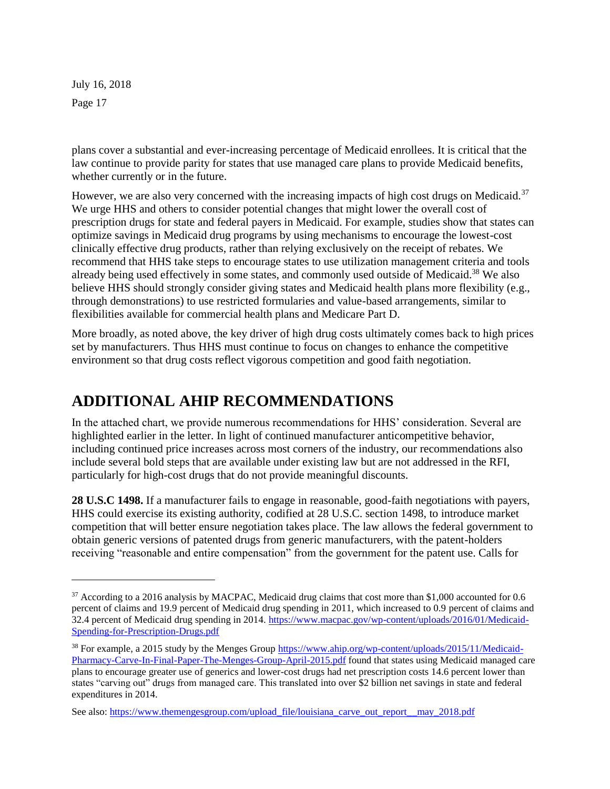l

plans cover a substantial and ever-increasing percentage of Medicaid enrollees. It is critical that the law continue to provide parity for states that use managed care plans to provide Medicaid benefits, whether currently or in the future.

However, we are also very concerned with the increasing impacts of high cost drugs on Medicaid.<sup>37</sup> We urge HHS and others to consider potential changes that might lower the overall cost of prescription drugs for state and federal payers in Medicaid. For example, studies show that states can optimize savings in Medicaid drug programs by using mechanisms to encourage the lowest-cost clinically effective drug products, rather than relying exclusively on the receipt of rebates. We recommend that HHS take steps to encourage states to use utilization management criteria and tools already being used effectively in some states, and commonly used outside of Medicaid.<sup>38</sup> We also believe HHS should strongly consider giving states and Medicaid health plans more flexibility (e.g., through demonstrations) to use restricted formularies and value-based arrangements, similar to flexibilities available for commercial health plans and Medicare Part D.

More broadly, as noted above, the key driver of high drug costs ultimately comes back to high prices set by manufacturers. Thus HHS must continue to focus on changes to enhance the competitive environment so that drug costs reflect vigorous competition and good faith negotiation.

#### **ADDITIONAL AHIP RECOMMENDATIONS**

In the attached chart, we provide numerous recommendations for HHS' consideration. Several are highlighted earlier in the letter. In light of continued manufacturer anticompetitive behavior, including continued price increases across most corners of the industry, our recommendations also include several bold steps that are available under existing law but are not addressed in the RFI, particularly for high-cost drugs that do not provide meaningful discounts.

**28 U.S.C 1498.** If a manufacturer fails to engage in reasonable, good-faith negotiations with payers, HHS could exercise its existing authority, codified at 28 U.S.C. section 1498, to introduce market competition that will better ensure negotiation takes place. The law allows the federal government to obtain generic versions of patented drugs from generic manufacturers, with the patent-holders receiving "reasonable and entire compensation" from the government for the patent use. Calls for

 $37$  According to a 2016 analysis by MACPAC, Medicaid drug claims that cost more than \$1,000 accounted for 0.6 percent of claims and 19.9 percent of Medicaid drug spending in 2011, which increased to 0.9 percent of claims and 32.4 percent of Medicaid drug spending in 2014[. https://www.macpac.gov/wp-content/uploads/2016/01/Medicaid-](https://www.macpac.gov/wp-content/uploads/2016/01/Medicaid-Spending-for-Prescription-Drugs.pdf)[Spending-for-Prescription-Drugs.pdf](https://www.macpac.gov/wp-content/uploads/2016/01/Medicaid-Spending-for-Prescription-Drugs.pdf)

<sup>&</sup>lt;sup>38</sup> For example, a 2015 study by the Menges Group [https://www.ahip.org/wp-content/uploads/2015/11/Medicaid-](https://www.ahip.org/wp-content/uploads/2015/11/Medicaid-Pharmacy-Carve-In-Final-Paper-The-Menges-Group-April-2015.pdf)[Pharmacy-Carve-In-Final-Paper-The-Menges-Group-April-2015.pdf](https://www.ahip.org/wp-content/uploads/2015/11/Medicaid-Pharmacy-Carve-In-Final-Paper-The-Menges-Group-April-2015.pdf) found that states using Medicaid managed care plans to encourage greater use of generics and lower-cost drugs had net prescription costs 14.6 percent lower than states "carving out" drugs from managed care. This translated into over \$2 billion net savings in state and federal expenditures in 2014.

See also: [https://www.themengesgroup.com/upload\\_file/louisiana\\_carve\\_out\\_report\\_\\_may\\_2018.pdf](https://www.themengesgroup.com/upload_file/louisiana_carve_out_report__may_2018.pdf)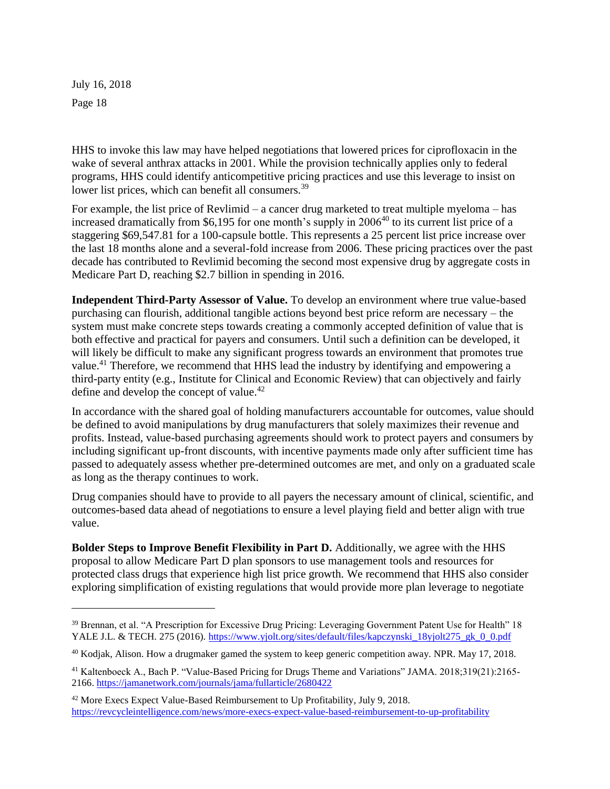l

HHS to invoke this law may have helped negotiations that lowered prices for ciprofloxacin in the wake of several anthrax attacks in 2001. While the provision technically applies only to federal programs, HHS could identify anticompetitive pricing practices and use this leverage to insist on lower list prices, which can benefit all consumers.<sup>39</sup>

For example, the list price of Revlimid – a cancer drug marketed to treat multiple myeloma – has increased dramatically from \$6,195 for one month's supply in  $2006^{40}$  to its current list price of a staggering \$69,547.81 for a 100-capsule bottle. This represents a 25 percent list price increase over the last 18 months alone and a several-fold increase from 2006. These pricing practices over the past decade has contributed to Revlimid becoming the second most expensive drug by aggregate costs in Medicare Part D, reaching \$2.7 billion in spending in 2016.

**Independent Third-Party Assessor of Value.** To develop an environment where true value-based purchasing can flourish, additional tangible actions beyond best price reform are necessary – the system must make concrete steps towards creating a commonly accepted definition of value that is both effective and practical for payers and consumers. Until such a definition can be developed, it will likely be difficult to make any significant progress towards an environment that promotes true value.<sup>41</sup> Therefore, we recommend that HHS lead the industry by identifying and empowering a third-party entity (e.g., Institute for Clinical and Economic Review) that can objectively and fairly define and develop the concept of value.<sup>42</sup>

In accordance with the shared goal of holding manufacturers accountable for outcomes, value should be defined to avoid manipulations by drug manufacturers that solely maximizes their revenue and profits. Instead, value-based purchasing agreements should work to protect payers and consumers by including significant up-front discounts, with incentive payments made only after sufficient time has passed to adequately assess whether pre-determined outcomes are met, and only on a graduated scale as long as the therapy continues to work.

Drug companies should have to provide to all payers the necessary amount of clinical, scientific, and outcomes-based data ahead of negotiations to ensure a level playing field and better align with true value.

**Bolder Steps to Improve Benefit Flexibility in Part D.** Additionally, we agree with the HHS proposal to allow Medicare Part D plan sponsors to use management tools and resources for protected class drugs that experience high list price growth. We recommend that HHS also consider exploring simplification of existing regulations that would provide more plan leverage to negotiate

<sup>&</sup>lt;sup>39</sup> Brennan, et al. "A Prescription for Excessive Drug Pricing: Leveraging Government Patent Use for Health" 18 YALE J.L. & TECH. 275 (2016). [https://www.yjolt.org/sites/default/files/kapczynski\\_18yjolt275\\_gk\\_0\\_0.pdf](https://www.yjolt.org/sites/default/files/kapczynski_18yjolt275_gk_0_0.pdf)

<sup>40</sup> Kodjak, Alison. How a drugmaker gamed the system to keep generic competition away. NPR. May 17, 2018.

<sup>41</sup> Kaltenboeck A., Bach P. "Value-Based Pricing for Drugs Theme and Variations" JAMA. 2018;319(21):2165- 2166.<https://jamanetwork.com/journals/jama/fullarticle/2680422>

<sup>&</sup>lt;sup>42</sup> More Execs Expect Value-Based Reimbursement to Up Profitability, July 9, 2018. <https://revcycleintelligence.com/news/more-execs-expect-value-based-reimbursement-to-up-profitability>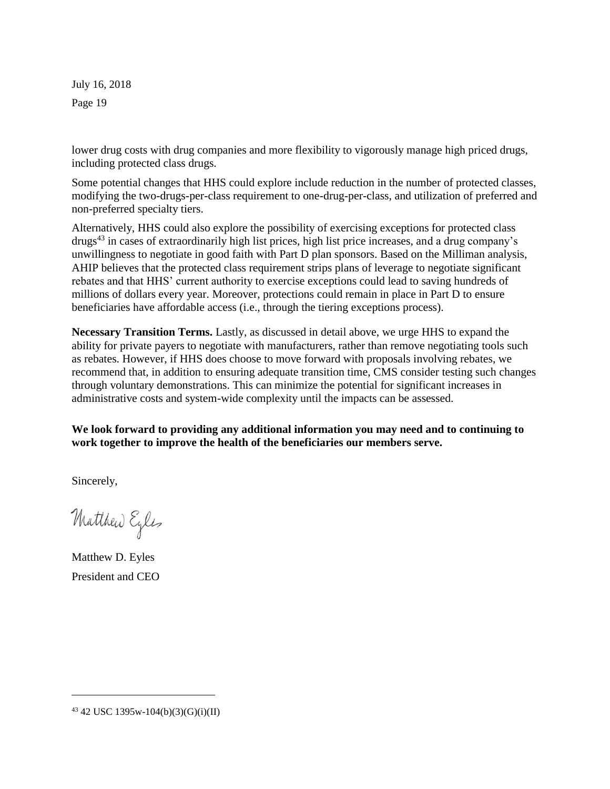lower drug costs with drug companies and more flexibility to vigorously manage high priced drugs, including protected class drugs.

Some potential changes that HHS could explore include reduction in the number of protected classes, modifying the two-drugs-per-class requirement to one-drug-per-class, and utilization of preferred and non-preferred specialty tiers.

Alternatively, HHS could also explore the possibility of exercising exceptions for protected class drugs<sup>43</sup> in cases of extraordinarily high list prices, high list price increases, and a drug company's unwillingness to negotiate in good faith with Part D plan sponsors. Based on the Milliman analysis, AHIP believes that the protected class requirement strips plans of leverage to negotiate significant rebates and that HHS' current authority to exercise exceptions could lead to saving hundreds of millions of dollars every year. Moreover, protections could remain in place in Part D to ensure beneficiaries have affordable access (i.e., through the tiering exceptions process).

**Necessary Transition Terms.** Lastly, as discussed in detail above, we urge HHS to expand the ability for private payers to negotiate with manufacturers, rather than remove negotiating tools such as rebates. However, if HHS does choose to move forward with proposals involving rebates, we recommend that, in addition to ensuring adequate transition time, CMS consider testing such changes through voluntary demonstrations. This can minimize the potential for significant increases in administrative costs and system-wide complexity until the impacts can be assessed.

**We look forward to providing any additional information you may need and to continuing to work together to improve the health of the beneficiaries our members serve.**

Sincerely,

Matthew Eyles

Matthew D. Eyles President and CEO

 $43$  42 USC 1395w-104(b)(3)(G)(i)(II)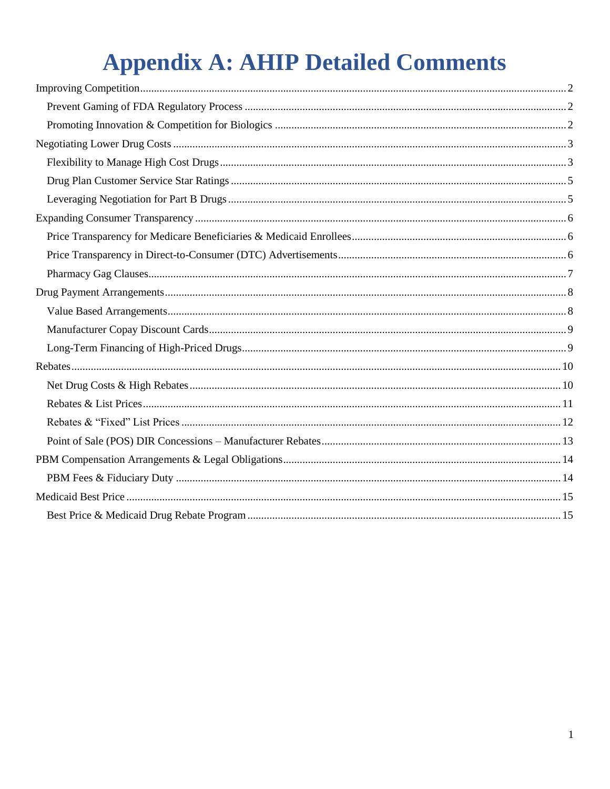# **Appendix A: AHIP Detailed Comments**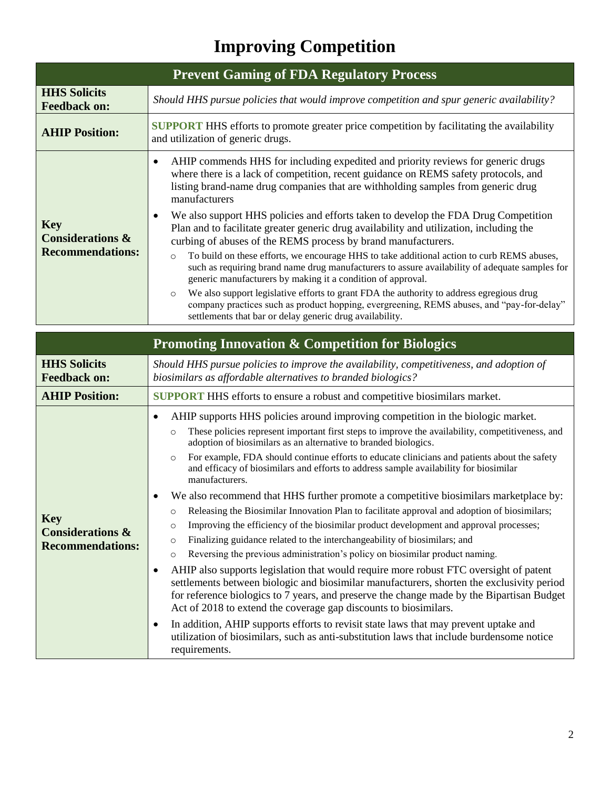# **Improving Competition**

<span id="page-20-1"></span><span id="page-20-0"></span>

| <b>Prevent Gaming of FDA Regulatory Process</b>                      |                                                                                                                                                                                                                                                                                           |  |
|----------------------------------------------------------------------|-------------------------------------------------------------------------------------------------------------------------------------------------------------------------------------------------------------------------------------------------------------------------------------------|--|
| <b>HHS Solicits</b><br><b>Feedback on:</b>                           | Should HHS pursue policies that would improve competition and spur generic availability?                                                                                                                                                                                                  |  |
| <b>AHIP Position:</b>                                                | <b>SUPPORT</b> HHS efforts to promote greater price competition by facilitating the availability<br>and utilization of generic drugs.                                                                                                                                                     |  |
| <b>Key</b><br><b>Considerations &amp;</b><br><b>Recommendations:</b> | AHIP commends HHS for including expedited and priority reviews for generic drugs<br>$\bullet$<br>where there is a lack of competition, recent guidance on REMS safety protocols, and<br>listing brand-name drug companies that are withholding samples from generic drug<br>manufacturers |  |
|                                                                      | We also support HHS policies and efforts taken to develop the FDA Drug Competition<br>$\bullet$<br>Plan and to facilitate greater generic drug availability and utilization, including the<br>curbing of abuses of the REMS process by brand manufacturers.                               |  |
|                                                                      | To build on these efforts, we encourage HHS to take additional action to curb REMS abuses,<br>$\circ$<br>such as requiring brand name drug manufacturers to assure availability of adequate samples for<br>generic manufacturers by making it a condition of approval.                    |  |
|                                                                      | We also support legislative efforts to grant FDA the authority to address egregious drug<br>$\circ$<br>company practices such as product hopping, evergreening, REMS abuses, and "pay-for-delay"<br>settlements that bar or delay generic drug availability.                              |  |

<span id="page-20-2"></span>

|                                                                      | <b>Promoting Innovation &amp; Competition for Biologics</b>                                                                                                                                                                                                                                                                                                                                                                                                                                                                                                                                                                                                                                                                                                                                                                                                                                                                                                                                                                                                                                                                                                                                                                                                                                                                                                                                                                                                                                                                                     |  |
|----------------------------------------------------------------------|-------------------------------------------------------------------------------------------------------------------------------------------------------------------------------------------------------------------------------------------------------------------------------------------------------------------------------------------------------------------------------------------------------------------------------------------------------------------------------------------------------------------------------------------------------------------------------------------------------------------------------------------------------------------------------------------------------------------------------------------------------------------------------------------------------------------------------------------------------------------------------------------------------------------------------------------------------------------------------------------------------------------------------------------------------------------------------------------------------------------------------------------------------------------------------------------------------------------------------------------------------------------------------------------------------------------------------------------------------------------------------------------------------------------------------------------------------------------------------------------------------------------------------------------------|--|
| <b>HHS Solicits</b><br><b>Feedback on:</b>                           | Should HHS pursue policies to improve the availability, competitiveness, and adoption of<br>biosimilars as affordable alternatives to branded biologics?                                                                                                                                                                                                                                                                                                                                                                                                                                                                                                                                                                                                                                                                                                                                                                                                                                                                                                                                                                                                                                                                                                                                                                                                                                                                                                                                                                                        |  |
| <b>AHIP Position:</b>                                                | <b>SUPPORT</b> HHS efforts to ensure a robust and competitive biosimilars market.                                                                                                                                                                                                                                                                                                                                                                                                                                                                                                                                                                                                                                                                                                                                                                                                                                                                                                                                                                                                                                                                                                                                                                                                                                                                                                                                                                                                                                                               |  |
| <b>Key</b><br><b>Considerations &amp;</b><br><b>Recommendations:</b> | AHIP supports HHS policies around improving competition in the biologic market.<br>These policies represent important first steps to improve the availability, competitiveness, and<br>$\circ$<br>adoption of biosimilars as an alternative to branded biologics.<br>For example, FDA should continue efforts to educate clinicians and patients about the safety<br>$\circ$<br>and efficacy of biosimilars and efforts to address sample availability for biosimilar<br>manufacturers.<br>We also recommend that HHS further promote a competitive biosimilars marketplace by:<br>Releasing the Biosimilar Innovation Plan to facilitate approval and adoption of biosimilars;<br>$\circ$<br>Improving the efficiency of the biosimilar product development and approval processes;<br>$\circ$<br>Finalizing guidance related to the interchangeability of biosimilars; and<br>$\circ$<br>Reversing the previous administration's policy on biosimilar product naming.<br>$\circ$<br>AHIP also supports legislation that would require more robust FTC oversight of patent<br>settlements between biologic and biosimilar manufacturers, shorten the exclusivity period<br>for reference biologics to 7 years, and preserve the change made by the Bipartisan Budget<br>Act of 2018 to extend the coverage gap discounts to biosimilars.<br>In addition, AHIP supports efforts to revisit state laws that may prevent uptake and<br>utilization of biosimilars, such as anti-substitution laws that include burdensome notice<br>requirements. |  |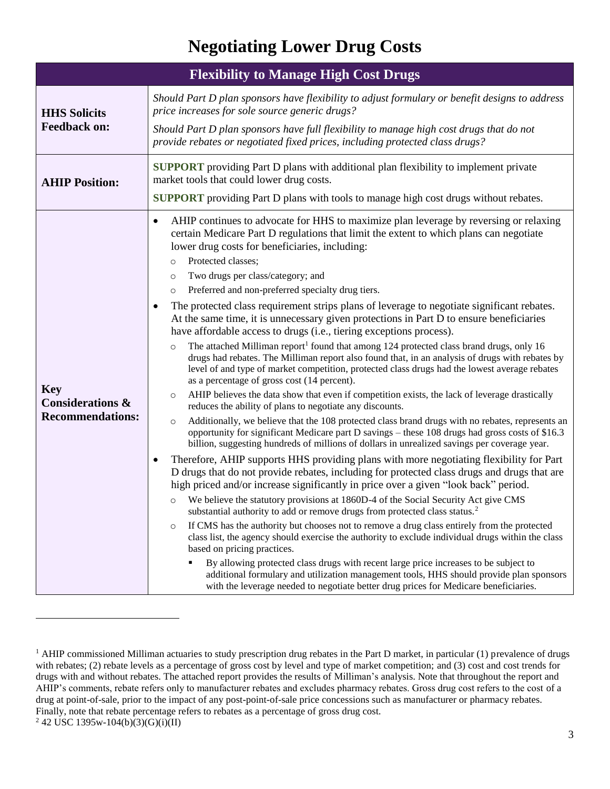## **Negotiating Lower Drug Costs**

<span id="page-21-1"></span><span id="page-21-0"></span>

| <b>Flexibility to Manage High Cost Drugs</b> |                                                                                                                                                                                                                                                                                                                                                                   |  |  |
|----------------------------------------------|-------------------------------------------------------------------------------------------------------------------------------------------------------------------------------------------------------------------------------------------------------------------------------------------------------------------------------------------------------------------|--|--|
| <b>HHS Solicits</b>                          | Should Part D plan sponsors have flexibility to adjust formulary or benefit designs to address<br>price increases for sole source generic drugs?                                                                                                                                                                                                                  |  |  |
| <b>Feedback on:</b>                          | Should Part D plan sponsors have full flexibility to manage high cost drugs that do not<br>provide rebates or negotiated fixed prices, including protected class drugs?                                                                                                                                                                                           |  |  |
| <b>AHIP Position:</b>                        | <b>SUPPORT</b> providing Part D plans with additional plan flexibility to implement private<br>market tools that could lower drug costs.                                                                                                                                                                                                                          |  |  |
|                                              | <b>SUPPORT</b> providing Part D plans with tools to manage high cost drugs without rebates.                                                                                                                                                                                                                                                                       |  |  |
|                                              | AHIP continues to advocate for HHS to maximize plan leverage by reversing or relaxing<br>$\bullet$<br>certain Medicare Part D regulations that limit the extent to which plans can negotiate<br>lower drug costs for beneficiaries, including:                                                                                                                    |  |  |
|                                              | Protected classes;<br>$\circ$                                                                                                                                                                                                                                                                                                                                     |  |  |
|                                              | Two drugs per class/category; and<br>$\circ$<br>Preferred and non-preferred specialty drug tiers.<br>$\circ$                                                                                                                                                                                                                                                      |  |  |
|                                              | The protected class requirement strips plans of leverage to negotiate significant rebates.<br>At the same time, it is unnecessary given protections in Part D to ensure beneficiaries<br>have affordable access to drugs (i.e., tiering exceptions process).                                                                                                      |  |  |
|                                              | The attached Milliman report <sup>1</sup> found that among 124 protected class brand drugs, only 16<br>$\circ$<br>drugs had rebates. The Milliman report also found that, in an analysis of drugs with rebates by<br>level of and type of market competition, protected class drugs had the lowest average rebates<br>as a percentage of gross cost (14 percent). |  |  |
| <b>Key</b><br><b>Considerations &amp;</b>    | AHIP believes the data show that even if competition exists, the lack of leverage drastically<br>$\circ$<br>reduces the ability of plans to negotiate any discounts.                                                                                                                                                                                              |  |  |
| <b>Recommendations:</b>                      | Additionally, we believe that the 108 protected class brand drugs with no rebates, represents an<br>$\circ$<br>opportunity for significant Medicare part D savings - these 108 drugs had gross costs of \$16.3<br>billion, suggesting hundreds of millions of dollars in unrealized savings per coverage year.                                                    |  |  |
|                                              | Therefore, AHIP supports HHS providing plans with more negotiating flexibility for Part<br>D drugs that do not provide rebates, including for protected class drugs and drugs that are<br>high priced and/or increase significantly in price over a given "look back" period.                                                                                     |  |  |
|                                              | We believe the statutory provisions at 1860D-4 of the Social Security Act give CMS<br>$\circ$<br>substantial authority to add or remove drugs from protected class status. <sup>2</sup>                                                                                                                                                                           |  |  |
|                                              | If CMS has the authority but chooses not to remove a drug class entirely from the protected<br>$\circ$<br>class list, the agency should exercise the authority to exclude individual drugs within the class<br>based on pricing practices.                                                                                                                        |  |  |
|                                              | By allowing protected class drugs with recent large price increases to be subject to<br>additional formulary and utilization management tools, HHS should provide plan sponsors<br>with the leverage needed to negotiate better drug prices for Medicare beneficiaries.                                                                                           |  |  |

<sup>&</sup>lt;sup>1</sup> AHIP commissioned Milliman actuaries to study prescription drug rebates in the Part D market, in particular  $(1)$  prevalence of drugs with rebates; (2) rebate levels as a percentage of gross cost by level and type of market competition; and (3) cost and cost trends for drugs with and without rebates. The attached report provides the results of Milliman's analysis. Note that throughout the report and AHIP's comments, rebate refers only to manufacturer rebates and excludes pharmacy rebates. Gross drug cost refers to the cost of a drug at point-of-sale, prior to the impact of any post-point-of-sale price concessions such as manufacturer or pharmacy rebates. Finally, note that rebate percentage refers to rebates as a percentage of gross drug cost.  $2$  42 USC 1395w-104(b)(3)(G)(i)(II)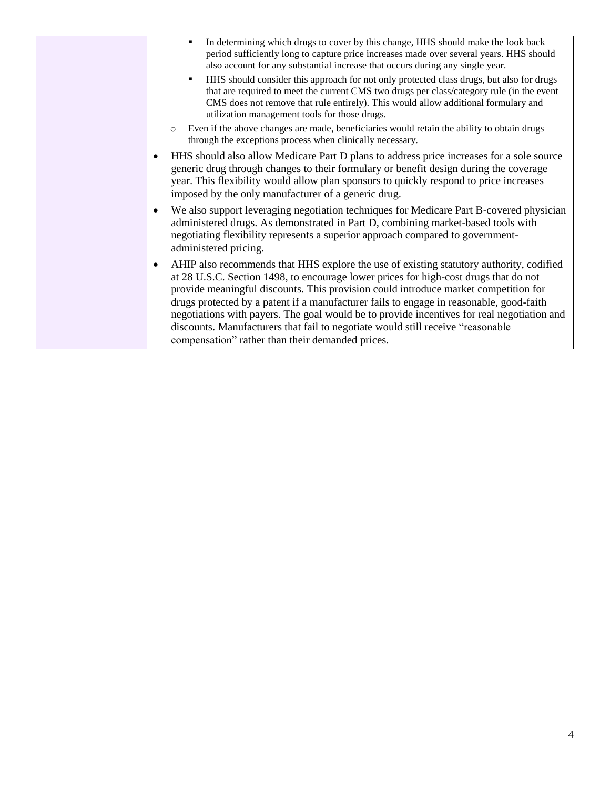| In determining which drugs to cover by this change, HHS should make the look back<br>$\blacksquare$<br>period sufficiently long to capture price increases made over several years. HHS should<br>also account for any substantial increase that occurs during any single year.<br>HHS should consider this approach for not only protected class drugs, but also for drugs<br>٠<br>that are required to meet the current CMS two drugs per class/category rule (in the event<br>CMS does not remove that rule entirely). This would allow additional formulary and                                                  |
|----------------------------------------------------------------------------------------------------------------------------------------------------------------------------------------------------------------------------------------------------------------------------------------------------------------------------------------------------------------------------------------------------------------------------------------------------------------------------------------------------------------------------------------------------------------------------------------------------------------------|
| utilization management tools for those drugs.<br>Even if the above changes are made, beneficiaries would retain the ability to obtain drugs<br>$\circ$<br>through the exceptions process when clinically necessary.                                                                                                                                                                                                                                                                                                                                                                                                  |
| HHS should also allow Medicare Part D plans to address price increases for a sole source<br>٠<br>generic drug through changes to their formulary or benefit design during the coverage<br>year. This flexibility would allow plan sponsors to quickly respond to price increases<br>imposed by the only manufacturer of a generic drug.                                                                                                                                                                                                                                                                              |
| We also support leveraging negotiation techniques for Medicare Part B-covered physician<br>$\bullet$<br>administered drugs. As demonstrated in Part D, combining market-based tools with<br>negotiating flexibility represents a superior approach compared to government-<br>administered pricing.                                                                                                                                                                                                                                                                                                                  |
| AHIP also recommends that HHS explore the use of existing statutory authority, codified<br>$\bullet$<br>at 28 U.S.C. Section 1498, to encourage lower prices for high-cost drugs that do not<br>provide meaningful discounts. This provision could introduce market competition for<br>drugs protected by a patent if a manufacturer fails to engage in reasonable, good-faith<br>negotiations with payers. The goal would be to provide incentives for real negotiation and<br>discounts. Manufacturers that fail to negotiate would still receive "reasonable"<br>compensation" rather than their demanded prices. |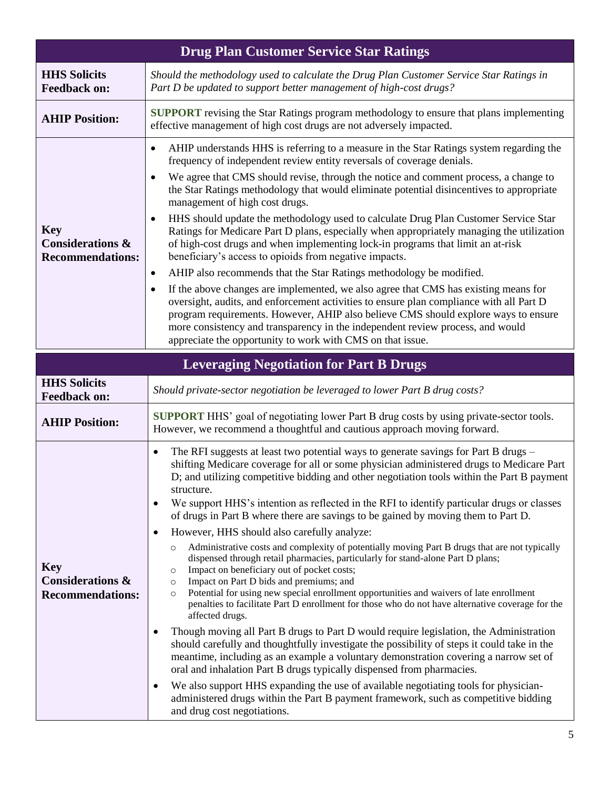<span id="page-23-1"></span><span id="page-23-0"></span>

|                                                                      | <b>Drug Plan Customer Service Star Ratings</b>                                                                                                                                                                                                                                                                                                                                                                                                                                                                                                                                                                                                                                                                                                                                                                                                                                                                                                                                                                                                                                                                                                                                                                                                                                                                                                                                                                                                                                                                                                                                                                                                                                                                   |
|----------------------------------------------------------------------|------------------------------------------------------------------------------------------------------------------------------------------------------------------------------------------------------------------------------------------------------------------------------------------------------------------------------------------------------------------------------------------------------------------------------------------------------------------------------------------------------------------------------------------------------------------------------------------------------------------------------------------------------------------------------------------------------------------------------------------------------------------------------------------------------------------------------------------------------------------------------------------------------------------------------------------------------------------------------------------------------------------------------------------------------------------------------------------------------------------------------------------------------------------------------------------------------------------------------------------------------------------------------------------------------------------------------------------------------------------------------------------------------------------------------------------------------------------------------------------------------------------------------------------------------------------------------------------------------------------------------------------------------------------------------------------------------------------|
| <b>HHS Solicits</b><br><b>Feedback on:</b>                           | Should the methodology used to calculate the Drug Plan Customer Service Star Ratings in<br>Part D be updated to support better management of high-cost drugs?                                                                                                                                                                                                                                                                                                                                                                                                                                                                                                                                                                                                                                                                                                                                                                                                                                                                                                                                                                                                                                                                                                                                                                                                                                                                                                                                                                                                                                                                                                                                                    |
| <b>AHIP Position:</b>                                                | <b>SUPPORT</b> revising the Star Ratings program methodology to ensure that plans implementing<br>effective management of high cost drugs are not adversely impacted.                                                                                                                                                                                                                                                                                                                                                                                                                                                                                                                                                                                                                                                                                                                                                                                                                                                                                                                                                                                                                                                                                                                                                                                                                                                                                                                                                                                                                                                                                                                                            |
| <b>Key</b><br><b>Considerations &amp;</b><br><b>Recommendations:</b> | AHIP understands HHS is referring to a measure in the Star Ratings system regarding the<br>frequency of independent review entity reversals of coverage denials.<br>We agree that CMS should revise, through the notice and comment process, a change to<br>the Star Ratings methodology that would eliminate potential disincentives to appropriate<br>management of high cost drugs.<br>HHS should update the methodology used to calculate Drug Plan Customer Service Star<br>$\bullet$<br>Ratings for Medicare Part D plans, especially when appropriately managing the utilization<br>of high-cost drugs and when implementing lock-in programs that limit an at-risk<br>beneficiary's access to opioids from negative impacts.<br>AHIP also recommends that the Star Ratings methodology be modified.<br>٠<br>If the above changes are implemented, we also agree that CMS has existing means for<br>$\bullet$<br>oversight, audits, and enforcement activities to ensure plan compliance with all Part D<br>program requirements. However, AHIP also believe CMS should explore ways to ensure<br>more consistency and transparency in the independent review process, and would<br>appreciate the opportunity to work with CMS on that issue.                                                                                                                                                                                                                                                                                                                                                                                                                                                            |
|                                                                      | <b>Leveraging Negotiation for Part B Drugs</b>                                                                                                                                                                                                                                                                                                                                                                                                                                                                                                                                                                                                                                                                                                                                                                                                                                                                                                                                                                                                                                                                                                                                                                                                                                                                                                                                                                                                                                                                                                                                                                                                                                                                   |
| <b>HHS Solicits</b><br><b>Feedback on:</b>                           | Should private-sector negotiation be leveraged to lower Part B drug costs?                                                                                                                                                                                                                                                                                                                                                                                                                                                                                                                                                                                                                                                                                                                                                                                                                                                                                                                                                                                                                                                                                                                                                                                                                                                                                                                                                                                                                                                                                                                                                                                                                                       |
| <b>AHIP Position:</b>                                                | <b>SUPPORT</b> HHS' goal of negotiating lower Part B drug costs by using private-sector tools.<br>However, we recommend a thoughtful and cautious approach moving forward.                                                                                                                                                                                                                                                                                                                                                                                                                                                                                                                                                                                                                                                                                                                                                                                                                                                                                                                                                                                                                                                                                                                                                                                                                                                                                                                                                                                                                                                                                                                                       |
| <b>Key</b><br><b>Considerations &amp;</b><br><b>Recommendations:</b> | The RFI suggests at least two potential ways to generate savings for Part B drugs -<br>$\bullet$<br>shifting Medicare coverage for all or some physician administered drugs to Medicare Part<br>D; and utilizing competitive bidding and other negotiation tools within the Part B payment<br>structure.<br>We support HHS's intention as reflected in the RFI to identify particular drugs or classes<br>$\bullet$<br>of drugs in Part B where there are savings to be gained by moving them to Part D.<br>However, HHS should also carefully analyze:<br>$\bullet$<br>Administrative costs and complexity of potentially moving Part B drugs that are not typically<br>$\circ$<br>dispensed through retail pharmacies, particularly for stand-alone Part D plans;<br>Impact on beneficiary out of pocket costs;<br>$\circ$<br>Impact on Part D bids and premiums; and<br>$\circ$<br>Potential for using new special enrollment opportunities and waivers of late enrollment<br>$\circ$<br>penalties to facilitate Part D enrollment for those who do not have alternative coverage for the<br>affected drugs.<br>Though moving all Part B drugs to Part D would require legislation, the Administration<br>$\bullet$<br>should carefully and thoughtfully investigate the possibility of steps it could take in the<br>meantime, including as an example a voluntary demonstration covering a narrow set of<br>oral and inhalation Part B drugs typically dispensed from pharmacies.<br>We also support HHS expanding the use of available negotiating tools for physician-<br>$\bullet$<br>administered drugs within the Part B payment framework, such as competitive bidding<br>and drug cost negotiations. |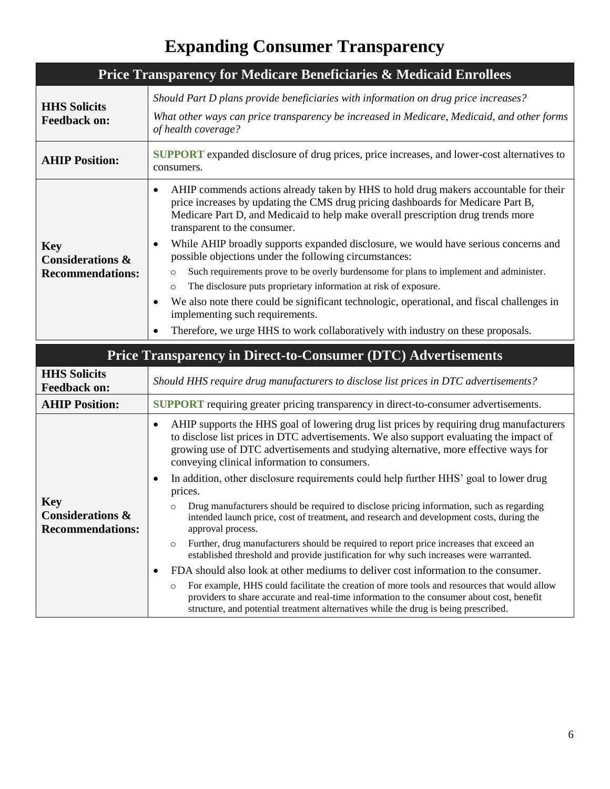## **Expanding Consumer Transparency**

<span id="page-24-1"></span><span id="page-24-0"></span>

| Price Transparency for Medicare Beneficiaries & Medicaid Enrollees   |                                                                                                                                                                                                                                                                                                                                                                                                                                                                                                                                                                                                                                                                                                                                                                                                                                                                                            |
|----------------------------------------------------------------------|--------------------------------------------------------------------------------------------------------------------------------------------------------------------------------------------------------------------------------------------------------------------------------------------------------------------------------------------------------------------------------------------------------------------------------------------------------------------------------------------------------------------------------------------------------------------------------------------------------------------------------------------------------------------------------------------------------------------------------------------------------------------------------------------------------------------------------------------------------------------------------------------|
| <b>HHS Solicits</b><br><b>Feedback on:</b>                           | Should Part D plans provide beneficiaries with information on drug price increases?<br>What other ways can price transparency be increased in Medicare, Medicaid, and other forms<br>of health coverage?                                                                                                                                                                                                                                                                                                                                                                                                                                                                                                                                                                                                                                                                                   |
| <b>AHIP Position:</b>                                                | <b>SUPPORT</b> expanded disclosure of drug prices, price increases, and lower-cost alternatives to<br>consumers.                                                                                                                                                                                                                                                                                                                                                                                                                                                                                                                                                                                                                                                                                                                                                                           |
| <b>Key</b><br><b>Considerations &amp;</b><br><b>Recommendations:</b> | AHIP commends actions already taken by HHS to hold drug makers accountable for their<br>$\bullet$<br>price increases by updating the CMS drug pricing dashboards for Medicare Part B,<br>Medicare Part D, and Medicaid to help make overall prescription drug trends more<br>transparent to the consumer.<br>While AHIP broadly supports expanded disclosure, we would have serious concerns and<br>٠<br>possible objections under the following circumstances:<br>Such requirements prove to be overly burdensome for plans to implement and administer.<br>$\circ$<br>The disclosure puts proprietary information at risk of exposure.<br>$\circ$<br>We also note there could be significant technologic, operational, and fiscal challenges in<br>$\bullet$<br>implementing such requirements.<br>Therefore, we urge HHS to work collaboratively with industry on these proposals.<br>Ċ |
|                                                                      | <b>Price Transparency in Direct-to-Consumer (DTC) Advertisements</b>                                                                                                                                                                                                                                                                                                                                                                                                                                                                                                                                                                                                                                                                                                                                                                                                                       |
| <b>HHS Solicits</b><br><b>Feedback on:</b>                           | Should HHS require drug manufacturers to disclose list prices in DTC advertisements?                                                                                                                                                                                                                                                                                                                                                                                                                                                                                                                                                                                                                                                                                                                                                                                                       |
| <b>AHIP Position:</b>                                                | <b>SUPPORT</b> requiring greater pricing transparency in direct-to-consumer advertisements.                                                                                                                                                                                                                                                                                                                                                                                                                                                                                                                                                                                                                                                                                                                                                                                                |
|                                                                      | AHIP supports the HHS goal of lowering drug list prices by requiring drug manufacturers<br>$\bullet$<br>to disclose list prices in DTC advertisements. We also support evaluating the impact of<br>growing use of DTC advertisements and studying alternative, more effective ways for<br>conveying clinical information to consumers.                                                                                                                                                                                                                                                                                                                                                                                                                                                                                                                                                     |

• In addition, other disclosure requirements could help further HHS' goal to lower drug prices.

| <b>Key</b><br><b>Considerations &amp;</b><br><b>Recommendations:</b> | Drug manufacturers should be required to disclose pricing information, such as regarding<br>intended launch price, cost of treatment, and research and development costs, during the<br>approval process. |
|----------------------------------------------------------------------|-----------------------------------------------------------------------------------------------------------------------------------------------------------------------------------------------------------|
|                                                                      | Further, drug manufacturers should be required to report price increases that exceed an                                                                                                                   |
|                                                                      | established threshold and provide justification for why such increases were warranted.                                                                                                                    |

<span id="page-24-2"></span>**Key**

- FDA should also look at other mediums to deliver cost information to the consumer.
- o For example, HHS could facilitate the creation of more tools and resources that would allow providers to share accurate and real-time information to the consumer about cost, benefit structure, and potential treatment alternatives while the drug is being prescribed.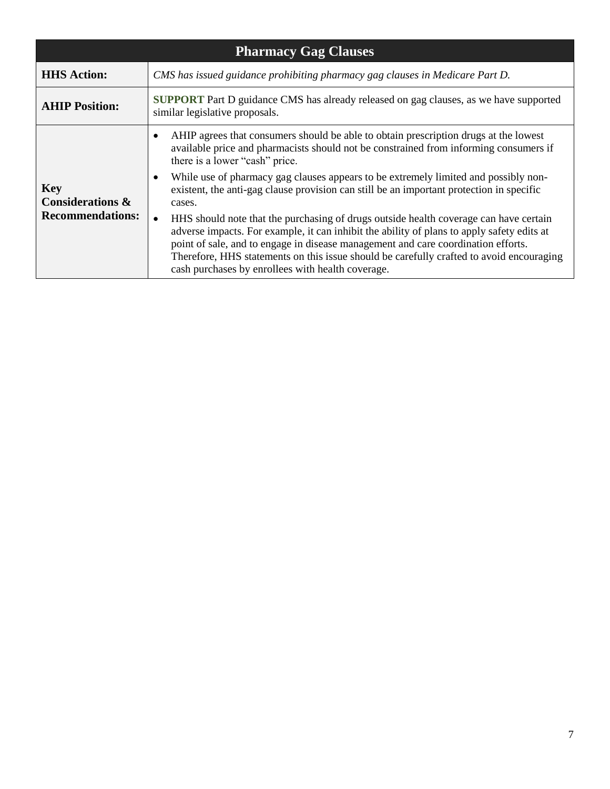<span id="page-25-0"></span>

| <b>Pharmacy Gag Clauses</b>                                          |                                                                                                                                                                                                                                                                                                                                                                                                                                                                                                                                                                                                                                                                                                                                                                                                                                                                                  |  |
|----------------------------------------------------------------------|----------------------------------------------------------------------------------------------------------------------------------------------------------------------------------------------------------------------------------------------------------------------------------------------------------------------------------------------------------------------------------------------------------------------------------------------------------------------------------------------------------------------------------------------------------------------------------------------------------------------------------------------------------------------------------------------------------------------------------------------------------------------------------------------------------------------------------------------------------------------------------|--|
| <b>HHS Action:</b>                                                   | CMS has issued guidance prohibiting pharmacy gag clauses in Medicare Part D.                                                                                                                                                                                                                                                                                                                                                                                                                                                                                                                                                                                                                                                                                                                                                                                                     |  |
| <b>AHIP Position:</b>                                                | <b>SUPPORT</b> Part D guidance CMS has already released on gag clauses, as we have supported<br>similar legislative proposals.                                                                                                                                                                                                                                                                                                                                                                                                                                                                                                                                                                                                                                                                                                                                                   |  |
| <b>Key</b><br><b>Considerations &amp;</b><br><b>Recommendations:</b> | AHIP agrees that consumers should be able to obtain prescription drugs at the lowest<br>$\bullet$<br>available price and pharmacists should not be constrained from informing consumers if<br>there is a lower "cash" price.<br>While use of pharmacy gag clauses appears to be extremely limited and possibly non-<br>$\bullet$<br>existent, the anti-gag clause provision can still be an important protection in specific<br>cases.<br>HHS should note that the purchasing of drugs outside health coverage can have certain<br>$\bullet$<br>adverse impacts. For example, it can inhibit the ability of plans to apply safety edits at<br>point of sale, and to engage in disease management and care coordination efforts.<br>Therefore, HHS statements on this issue should be carefully crafted to avoid encouraging<br>cash purchases by enrollees with health coverage. |  |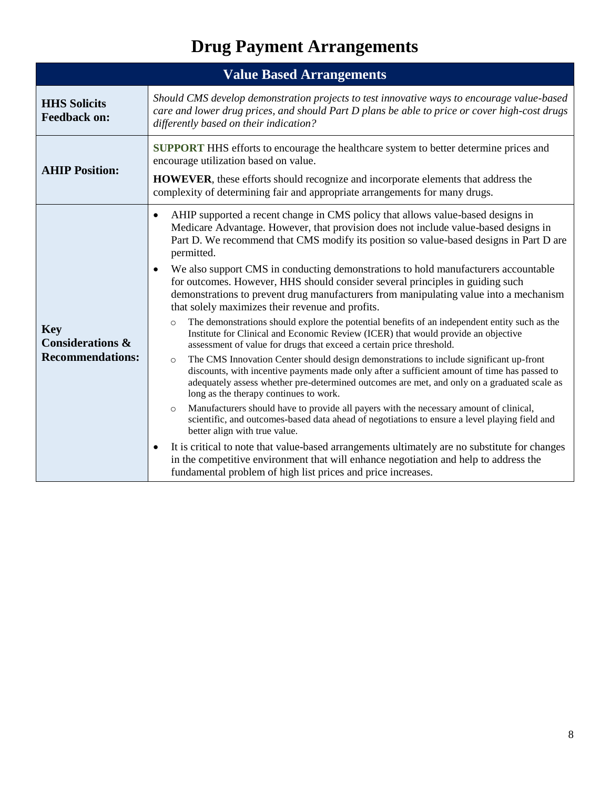# **Drug Payment Arrangements**

<span id="page-26-1"></span><span id="page-26-0"></span>

| <b>Value Based Arrangements</b>                                      |                                                                                                                                                                                                                                                                                                                                                                                                                                                                                                                                                                                                                                                                                                                                                                                                                                                                                                                                                                                                                                                                                                                                                                                                                                                                                                                                                                                                                                                                                                                                                                                                                                                                                                                                        |  |
|----------------------------------------------------------------------|----------------------------------------------------------------------------------------------------------------------------------------------------------------------------------------------------------------------------------------------------------------------------------------------------------------------------------------------------------------------------------------------------------------------------------------------------------------------------------------------------------------------------------------------------------------------------------------------------------------------------------------------------------------------------------------------------------------------------------------------------------------------------------------------------------------------------------------------------------------------------------------------------------------------------------------------------------------------------------------------------------------------------------------------------------------------------------------------------------------------------------------------------------------------------------------------------------------------------------------------------------------------------------------------------------------------------------------------------------------------------------------------------------------------------------------------------------------------------------------------------------------------------------------------------------------------------------------------------------------------------------------------------------------------------------------------------------------------------------------|--|
| <b>HHS Solicits</b><br><b>Feedback on:</b>                           | Should CMS develop demonstration projects to test innovative ways to encourage value-based<br>care and lower drug prices, and should Part D plans be able to price or cover high-cost drugs<br>differently based on their indication?                                                                                                                                                                                                                                                                                                                                                                                                                                                                                                                                                                                                                                                                                                                                                                                                                                                                                                                                                                                                                                                                                                                                                                                                                                                                                                                                                                                                                                                                                                  |  |
| <b>AHIP Position:</b>                                                | <b>SUPPORT</b> HHS efforts to encourage the healthcare system to better determine prices and<br>encourage utilization based on value.<br><b>HOWEVER</b> , these efforts should recognize and incorporate elements that address the<br>complexity of determining fair and appropriate arrangements for many drugs.                                                                                                                                                                                                                                                                                                                                                                                                                                                                                                                                                                                                                                                                                                                                                                                                                                                                                                                                                                                                                                                                                                                                                                                                                                                                                                                                                                                                                      |  |
| <b>Key</b><br><b>Considerations &amp;</b><br><b>Recommendations:</b> | AHIP supported a recent change in CMS policy that allows value-based designs in<br>$\bullet$<br>Medicare Advantage. However, that provision does not include value-based designs in<br>Part D. We recommend that CMS modify its position so value-based designs in Part D are<br>permitted.<br>We also support CMS in conducting demonstrations to hold manufacturers accountable<br>for outcomes. However, HHS should consider several principles in guiding such<br>demonstrations to prevent drug manufacturers from manipulating value into a mechanism<br>that solely maximizes their revenue and profits.<br>The demonstrations should explore the potential benefits of an independent entity such as the<br>$\circ$<br>Institute for Clinical and Economic Review (ICER) that would provide an objective<br>assessment of value for drugs that exceed a certain price threshold.<br>The CMS Innovation Center should design demonstrations to include significant up-front<br>$\circ$<br>discounts, with incentive payments made only after a sufficient amount of time has passed to<br>adequately assess whether pre-determined outcomes are met, and only on a graduated scale as<br>long as the therapy continues to work.<br>Manufacturers should have to provide all payers with the necessary amount of clinical,<br>$\circ$<br>scientific, and outcomes-based data ahead of negotiations to ensure a level playing field and<br>better align with true value.<br>It is critical to note that value-based arrangements ultimately are no substitute for changes<br>in the competitive environment that will enhance negotiation and help to address the<br>fundamental problem of high list prices and price increases. |  |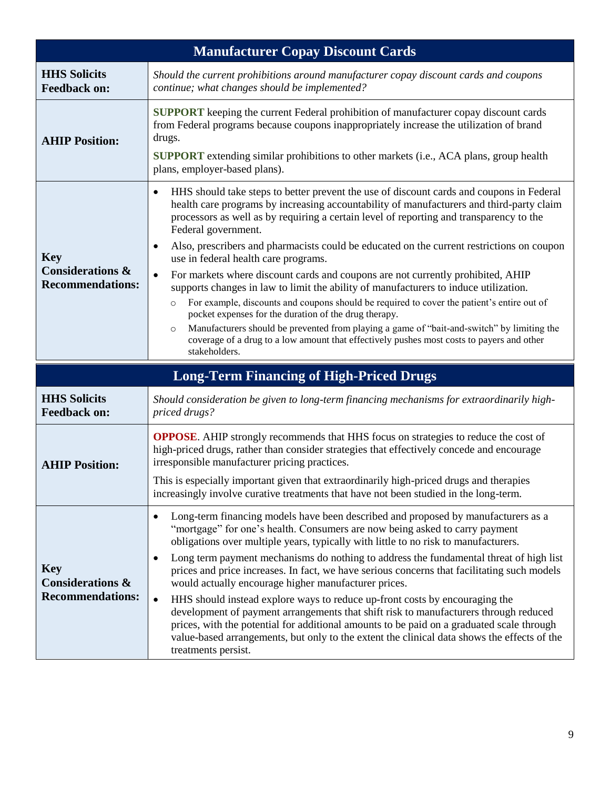<span id="page-27-1"></span><span id="page-27-0"></span>

|                                                                      | <b>Manufacturer Copay Discount Cards</b>                                                                                                                                                                                                                                                                                                                                                                                                                                                                                                                                                                                                                                                                                                                                                                                                                                                                                                                                                                                                       |
|----------------------------------------------------------------------|------------------------------------------------------------------------------------------------------------------------------------------------------------------------------------------------------------------------------------------------------------------------------------------------------------------------------------------------------------------------------------------------------------------------------------------------------------------------------------------------------------------------------------------------------------------------------------------------------------------------------------------------------------------------------------------------------------------------------------------------------------------------------------------------------------------------------------------------------------------------------------------------------------------------------------------------------------------------------------------------------------------------------------------------|
| <b>HHS Solicits</b><br><b>Feedback on:</b>                           | Should the current prohibitions around manufacturer copay discount cards and coupons<br>continue; what changes should be implemented?                                                                                                                                                                                                                                                                                                                                                                                                                                                                                                                                                                                                                                                                                                                                                                                                                                                                                                          |
| <b>AHIP Position:</b>                                                | <b>SUPPORT</b> keeping the current Federal prohibition of manufacturer copay discount cards<br>from Federal programs because coupons inappropriately increase the utilization of brand<br>drugs.<br><b>SUPPORT</b> extending similar prohibitions to other markets (i.e., ACA plans, group health<br>plans, employer-based plans).                                                                                                                                                                                                                                                                                                                                                                                                                                                                                                                                                                                                                                                                                                             |
| <b>Key</b><br><b>Considerations &amp;</b><br><b>Recommendations:</b> | HHS should take steps to better prevent the use of discount cards and coupons in Federal<br>$\bullet$<br>health care programs by increasing accountability of manufacturers and third-party claim<br>processors as well as by requiring a certain level of reporting and transparency to the<br>Federal government.<br>Also, prescribers and pharmacists could be educated on the current restrictions on coupon<br>٠<br>use in federal health care programs.<br>For markets where discount cards and coupons are not currently prohibited, AHIP<br>$\bullet$<br>supports changes in law to limit the ability of manufacturers to induce utilization.<br>For example, discounts and coupons should be required to cover the patient's entire out of<br>$\circ$<br>pocket expenses for the duration of the drug therapy.<br>Manufacturers should be prevented from playing a game of "bait-and-switch" by limiting the<br>$\circ$<br>coverage of a drug to a low amount that effectively pushes most costs to payers and other<br>stakeholders. |
|                                                                      | <b>Long-Term Financing of High-Priced Drugs</b>                                                                                                                                                                                                                                                                                                                                                                                                                                                                                                                                                                                                                                                                                                                                                                                                                                                                                                                                                                                                |
| <b>HHS Solicits</b><br><b>Feedback on:</b>                           | Should consideration be given to long-term financing mechanisms for extraordinarily high-<br>priced drugs?                                                                                                                                                                                                                                                                                                                                                                                                                                                                                                                                                                                                                                                                                                                                                                                                                                                                                                                                     |
| <b>AHIP Position:</b>                                                | <b>OPPOSE.</b> AHIP strongly recommends that HHS focus on strategies to reduce the cost of<br>high-priced drugs, rather than consider strategies that effectively concede and encourage<br>irresponsible manufacturer pricing practices.<br>This is especially important given that extraordinarily high-priced drugs and therapies<br>increasingly involve curative treatments that have not been studied in the long-term.                                                                                                                                                                                                                                                                                                                                                                                                                                                                                                                                                                                                                   |
| <b>Key</b><br><b>Considerations &amp;</b><br><b>Recommendations:</b> | Long-term financing models have been described and proposed by manufacturers as a<br>٠<br>"mortgage" for one's health. Consumers are now being asked to carry payment<br>obligations over multiple years, typically with little to no risk to manufacturers.<br>Long term payment mechanisms do nothing to address the fundamental threat of high list<br>$\bullet$<br>prices and price increases. In fact, we have serious concerns that facilitating such models<br>would actually encourage higher manufacturer prices.<br>HHS should instead explore ways to reduce up-front costs by encouraging the<br>$\bullet$<br>development of payment arrangements that shift risk to manufacturers through reduced<br>prices, with the potential for additional amounts to be paid on a graduated scale through<br>value-based arrangements, but only to the extent the clinical data shows the effects of the<br>treatments persist.                                                                                                              |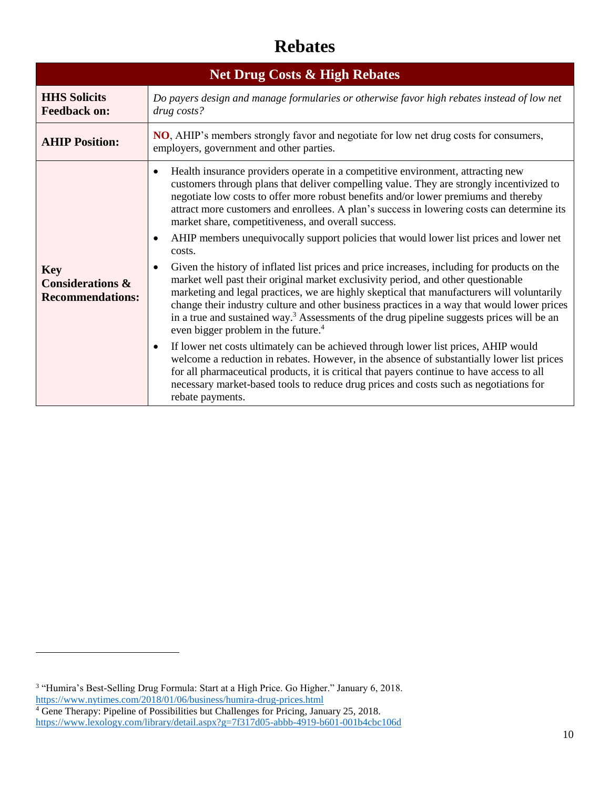#### **Rebates**

<span id="page-28-1"></span><span id="page-28-0"></span>

| <b>Net Drug Costs &amp; High Rebates</b>                             |                                                                                                                                                                                                                                                                                                                                                                                                                                                                                                                                                                                                                                                                                                                                                                                                                                                                                                                                                                                                                                                                                                                                                                                                                                                                                                                                                                                                                                                                                                                  |  |
|----------------------------------------------------------------------|------------------------------------------------------------------------------------------------------------------------------------------------------------------------------------------------------------------------------------------------------------------------------------------------------------------------------------------------------------------------------------------------------------------------------------------------------------------------------------------------------------------------------------------------------------------------------------------------------------------------------------------------------------------------------------------------------------------------------------------------------------------------------------------------------------------------------------------------------------------------------------------------------------------------------------------------------------------------------------------------------------------------------------------------------------------------------------------------------------------------------------------------------------------------------------------------------------------------------------------------------------------------------------------------------------------------------------------------------------------------------------------------------------------------------------------------------------------------------------------------------------------|--|
| <b>HHS Solicits</b><br><b>Feedback on:</b>                           | Do payers design and manage formularies or otherwise favor high rebates instead of low net<br>drug costs?                                                                                                                                                                                                                                                                                                                                                                                                                                                                                                                                                                                                                                                                                                                                                                                                                                                                                                                                                                                                                                                                                                                                                                                                                                                                                                                                                                                                        |  |
| <b>AHIP Position:</b>                                                | <b>NO</b> , AHIP's members strongly favor and negotiate for low net drug costs for consumers,<br>employers, government and other parties.                                                                                                                                                                                                                                                                                                                                                                                                                                                                                                                                                                                                                                                                                                                                                                                                                                                                                                                                                                                                                                                                                                                                                                                                                                                                                                                                                                        |  |
| <b>Key</b><br><b>Considerations &amp;</b><br><b>Recommendations:</b> | Health insurance providers operate in a competitive environment, attracting new<br>$\bullet$<br>customers through plans that deliver compelling value. They are strongly incentivized to<br>negotiate low costs to offer more robust benefits and/or lower premiums and thereby<br>attract more customers and enrollees. A plan's success in lowering costs can determine its<br>market share, competitiveness, and overall success.<br>AHIP members unequivocally support policies that would lower list prices and lower net<br>costs.<br>Given the history of inflated list prices and price increases, including for products on the<br>$\bullet$<br>market well past their original market exclusivity period, and other questionable<br>marketing and legal practices, we are highly skeptical that manufacturers will voluntarily<br>change their industry culture and other business practices in a way that would lower prices<br>in a true and sustained way. <sup>3</sup> Assessments of the drug pipeline suggests prices will be an<br>even bigger problem in the future. <sup>4</sup><br>If lower net costs ultimately can be achieved through lower list prices, AHIP would<br>$\bullet$<br>welcome a reduction in rebates. However, in the absence of substantially lower list prices<br>for all pharmaceutical products, it is critical that payers continue to have access to all<br>necessary market-based tools to reduce drug prices and costs such as negotiations for<br>rebate payments. |  |

<sup>&</sup>lt;sup>3</sup> "Humira's Best-Selling Drug Formula: Start at a High Price. Go Higher." January 6, 2018. <https://www.nytimes.com/2018/01/06/business/humira-drug-prices.html>

<sup>&</sup>lt;sup>4</sup> Gene Therapy: Pipeline of Possibilities but Challenges for Pricing, January 25, 2018. <https://www.lexology.com/library/detail.aspx?g=7f317d05-abbb-4919-b601-001b4cbc106d>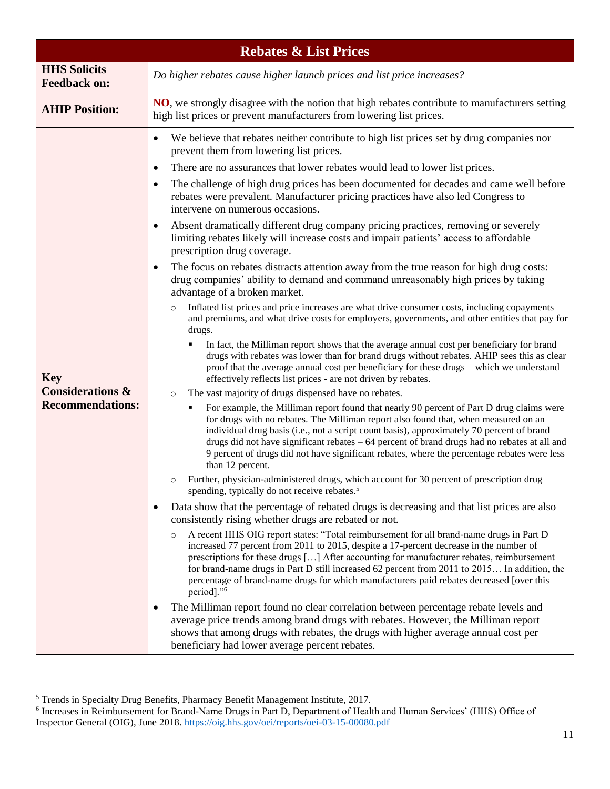<span id="page-29-0"></span>

| <b>Rebates &amp; List Prices</b>                                     |                                                                                                                                                                                                                                                                                                                                                                                                                                                                                                                                                                                                                                                                                                                                                                                                                                                                                                                                                                                                                                                                                                                                                                                                                                                                                                                                                                                                                                                                                                                                                                                                                                                                                                                                                                                                                                                                                                                                                                                                                                                                                                                                                                                                                                                                                                                                                                                                                                                                                                                                                                                                                                                                                                                                                                                                                                                                                                                                                                                                                                                                                                                                                                                                                                     |  |
|----------------------------------------------------------------------|-------------------------------------------------------------------------------------------------------------------------------------------------------------------------------------------------------------------------------------------------------------------------------------------------------------------------------------------------------------------------------------------------------------------------------------------------------------------------------------------------------------------------------------------------------------------------------------------------------------------------------------------------------------------------------------------------------------------------------------------------------------------------------------------------------------------------------------------------------------------------------------------------------------------------------------------------------------------------------------------------------------------------------------------------------------------------------------------------------------------------------------------------------------------------------------------------------------------------------------------------------------------------------------------------------------------------------------------------------------------------------------------------------------------------------------------------------------------------------------------------------------------------------------------------------------------------------------------------------------------------------------------------------------------------------------------------------------------------------------------------------------------------------------------------------------------------------------------------------------------------------------------------------------------------------------------------------------------------------------------------------------------------------------------------------------------------------------------------------------------------------------------------------------------------------------------------------------------------------------------------------------------------------------------------------------------------------------------------------------------------------------------------------------------------------------------------------------------------------------------------------------------------------------------------------------------------------------------------------------------------------------------------------------------------------------------------------------------------------------------------------------------------------------------------------------------------------------------------------------------------------------------------------------------------------------------------------------------------------------------------------------------------------------------------------------------------------------------------------------------------------------------------------------------------------------------------------------------------------------|--|
| <b>HHS Solicits</b><br><b>Feedback on:</b>                           | Do higher rebates cause higher launch prices and list price increases?                                                                                                                                                                                                                                                                                                                                                                                                                                                                                                                                                                                                                                                                                                                                                                                                                                                                                                                                                                                                                                                                                                                                                                                                                                                                                                                                                                                                                                                                                                                                                                                                                                                                                                                                                                                                                                                                                                                                                                                                                                                                                                                                                                                                                                                                                                                                                                                                                                                                                                                                                                                                                                                                                                                                                                                                                                                                                                                                                                                                                                                                                                                                                              |  |
| <b>AHIP Position:</b>                                                | NO, we strongly disagree with the notion that high rebates contribute to manufacturers setting<br>high list prices or prevent manufacturers from lowering list prices.                                                                                                                                                                                                                                                                                                                                                                                                                                                                                                                                                                                                                                                                                                                                                                                                                                                                                                                                                                                                                                                                                                                                                                                                                                                                                                                                                                                                                                                                                                                                                                                                                                                                                                                                                                                                                                                                                                                                                                                                                                                                                                                                                                                                                                                                                                                                                                                                                                                                                                                                                                                                                                                                                                                                                                                                                                                                                                                                                                                                                                                              |  |
| <b>Key</b><br><b>Considerations &amp;</b><br><b>Recommendations:</b> | We believe that rebates neither contribute to high list prices set by drug companies nor<br>$\bullet$<br>prevent them from lowering list prices.<br>There are no assurances that lower rebates would lead to lower list prices.<br>٠<br>The challenge of high drug prices has been documented for decades and came well before<br>$\bullet$<br>rebates were prevalent. Manufacturer pricing practices have also led Congress to<br>intervene on numerous occasions.<br>Absent dramatically different drug company pricing practices, removing or severely<br>٠<br>limiting rebates likely will increase costs and impair patients' access to affordable<br>prescription drug coverage.<br>The focus on rebates distracts attention away from the true reason for high drug costs:<br>$\bullet$<br>drug companies' ability to demand and command unreasonably high prices by taking<br>advantage of a broken market.<br>Inflated list prices and price increases are what drive consumer costs, including copayments<br>and premiums, and what drive costs for employers, governments, and other entities that pay for<br>drugs.<br>In fact, the Milliman report shows that the average annual cost per beneficiary for brand<br>٠<br>drugs with rebates was lower than for brand drugs without rebates. AHIP sees this as clear<br>proof that the average annual cost per beneficiary for these drugs - which we understand<br>effectively reflects list prices - are not driven by rebates.<br>The vast majority of drugs dispensed have no rebates.<br>$\circ$<br>For example, the Milliman report found that nearly 90 percent of Part D drug claims were<br>٠<br>for drugs with no rebates. The Milliman report also found that, when measured on an<br>individual drug basis (i.e., not a script count basis), approximately 70 percent of brand<br>drugs did not have significant rebates - 64 percent of brand drugs had no rebates at all and<br>9 percent of drugs did not have significant rebates, where the percentage rebates were less<br>than 12 percent.<br>Further, physician-administered drugs, which account for 30 percent of prescription drug<br>$\circ$<br>spending, typically do not receive rebates. <sup>5</sup><br>Data show that the percentage of rebated drugs is decreasing and that list prices are also<br>٠<br>consistently rising whether drugs are rebated or not.<br>A recent HHS OIG report states: "Total reimbursement for all brand-name drugs in Part D<br>increased 77 percent from 2011 to 2015, despite a 17-percent decrease in the number of<br>prescriptions for these drugs [] After accounting for manufacturer rebates, reimbursement<br>for brand-name drugs in Part D still increased 62 percent from 2011 to 2015 In addition, the<br>percentage of brand-name drugs for which manufacturers paid rebates decreased [over this<br>period]." <sup>6</sup><br>The Milliman report found no clear correlation between percentage rebate levels and<br>average price trends among brand drugs with rebates. However, the Milliman report<br>shows that among drugs with rebates, the drugs with higher average annual cost per<br>beneficiary had lower average percent rebates. |  |

<sup>&</sup>lt;sup>5</sup> Trends in Specialty Drug Benefits, Pharmacy Benefit Management Institute, 2017.<br><sup>6</sup> Increases in Reimbursement for Brand-Name Drugs in Part D, Department of Health and Human Services' (HHS) Office of Inspector General (OIG), June 2018.<https://oig.hhs.gov/oei/reports/oei-03-15-00080.pdf>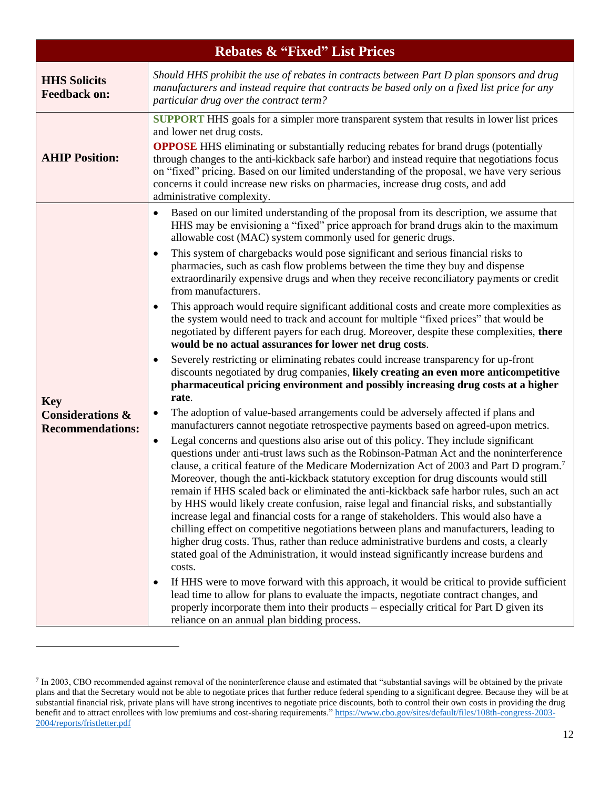<span id="page-30-0"></span>

| <b>Rebates &amp; "Fixed" List Prices</b>                             |                                                                                                                                                                                                                                                                                                                                                                                                                                                                                                                                                                                                                                                                                                                                                                                                                                                                                                                                                                                                                                                                                                                                                                                                                                                                                                                                                                                                                                                                                                                                                                                                                                                                                                                                                                                                                                                                                                                                                                                                                                                                                                                                                                                                                                                                                                                                                                                                                                                                                                                                                                                                                                                                          |
|----------------------------------------------------------------------|--------------------------------------------------------------------------------------------------------------------------------------------------------------------------------------------------------------------------------------------------------------------------------------------------------------------------------------------------------------------------------------------------------------------------------------------------------------------------------------------------------------------------------------------------------------------------------------------------------------------------------------------------------------------------------------------------------------------------------------------------------------------------------------------------------------------------------------------------------------------------------------------------------------------------------------------------------------------------------------------------------------------------------------------------------------------------------------------------------------------------------------------------------------------------------------------------------------------------------------------------------------------------------------------------------------------------------------------------------------------------------------------------------------------------------------------------------------------------------------------------------------------------------------------------------------------------------------------------------------------------------------------------------------------------------------------------------------------------------------------------------------------------------------------------------------------------------------------------------------------------------------------------------------------------------------------------------------------------------------------------------------------------------------------------------------------------------------------------------------------------------------------------------------------------------------------------------------------------------------------------------------------------------------------------------------------------------------------------------------------------------------------------------------------------------------------------------------------------------------------------------------------------------------------------------------------------------------------------------------------------------------------------------------------------|
| <b>HHS Solicits</b><br><b>Feedback on:</b>                           | Should HHS prohibit the use of rebates in contracts between Part D plan sponsors and drug<br>manufacturers and instead require that contracts be based only on a fixed list price for any<br>particular drug over the contract term?                                                                                                                                                                                                                                                                                                                                                                                                                                                                                                                                                                                                                                                                                                                                                                                                                                                                                                                                                                                                                                                                                                                                                                                                                                                                                                                                                                                                                                                                                                                                                                                                                                                                                                                                                                                                                                                                                                                                                                                                                                                                                                                                                                                                                                                                                                                                                                                                                                     |
| <b>AHIP Position:</b>                                                | <b>SUPPORT</b> HHS goals for a simpler more transparent system that results in lower list prices<br>and lower net drug costs.<br><b>OPPOSE</b> HHS eliminating or substantially reducing rebates for brand drugs (potentially<br>through changes to the anti-kickback safe harbor) and instead require that negotiations focus<br>on "fixed" pricing. Based on our limited understanding of the proposal, we have very serious<br>concerns it could increase new risks on pharmacies, increase drug costs, and add<br>administrative complexity.                                                                                                                                                                                                                                                                                                                                                                                                                                                                                                                                                                                                                                                                                                                                                                                                                                                                                                                                                                                                                                                                                                                                                                                                                                                                                                                                                                                                                                                                                                                                                                                                                                                                                                                                                                                                                                                                                                                                                                                                                                                                                                                         |
| <b>Key</b><br><b>Considerations &amp;</b><br><b>Recommendations:</b> | Based on our limited understanding of the proposal from its description, we assume that<br>HHS may be envisioning a "fixed" price approach for brand drugs akin to the maximum<br>allowable cost (MAC) system commonly used for generic drugs.<br>This system of chargebacks would pose significant and serious financial risks to<br>pharmacies, such as cash flow problems between the time they buy and dispense<br>extraordinarily expensive drugs and when they receive reconciliatory payments or credit<br>from manufacturers.<br>This approach would require significant additional costs and create more complexities as<br>the system would need to track and account for multiple "fixed prices" that would be<br>negotiated by different payers for each drug. Moreover, despite these complexities, there<br>would be no actual assurances for lower net drug costs.<br>Severely restricting or eliminating rebates could increase transparency for up-front<br>discounts negotiated by drug companies, likely creating an even more anticompetitive<br>pharmaceutical pricing environment and possibly increasing drug costs at a higher<br>rate.<br>The adoption of value-based arrangements could be adversely affected if plans and<br>$\bullet$<br>manufacturers cannot negotiate retrospective payments based on agreed-upon metrics.<br>Legal concerns and questions also arise out of this policy. They include significant<br>$\bullet$<br>questions under anti-trust laws such as the Robinson-Patman Act and the noninterference<br>clause, a critical feature of the Medicare Modernization Act of 2003 and Part D program. <sup>7</sup><br>Moreover, though the anti-kickback statutory exception for drug discounts would still<br>remain if HHS scaled back or eliminated the anti-kickback safe harbor rules, such an act<br>by HHS would likely create confusion, raise legal and financial risks, and substantially<br>increase legal and financial costs for a range of stakeholders. This would also have a<br>chilling effect on competitive negotiations between plans and manufacturers, leading to<br>higher drug costs. Thus, rather than reduce administrative burdens and costs, a clearly<br>stated goal of the Administration, it would instead significantly increase burdens and<br>costs.<br>If HHS were to move forward with this approach, it would be critical to provide sufficient<br>lead time to allow for plans to evaluate the impacts, negotiate contract changes, and<br>properly incorporate them into their products – especially critical for Part D given its<br>reliance on an annual plan bidding process. |

 $<sup>7</sup>$  In 2003, CBO recommended against removal of the noninterference clause and estimated that "substantial savings will be obtained by the private</sup> plans and that the Secretary would not be able to negotiate prices that further reduce federal spending to a significant degree. Because they will be at substantial financial risk, private plans will have strong incentives to negotiate price discounts, both to control their own costs in providing the drug benefit and to attract enrollees with low premiums and cost-sharing requirements.[" https://www.cbo.gov/sites/default/files/108th-congress-2003-](https://www.cbo.gov/sites/default/files/108th-congress-2003-2004/reports/fristletter.pdf) [2004/reports/fristletter.pdf](https://www.cbo.gov/sites/default/files/108th-congress-2003-2004/reports/fristletter.pdf)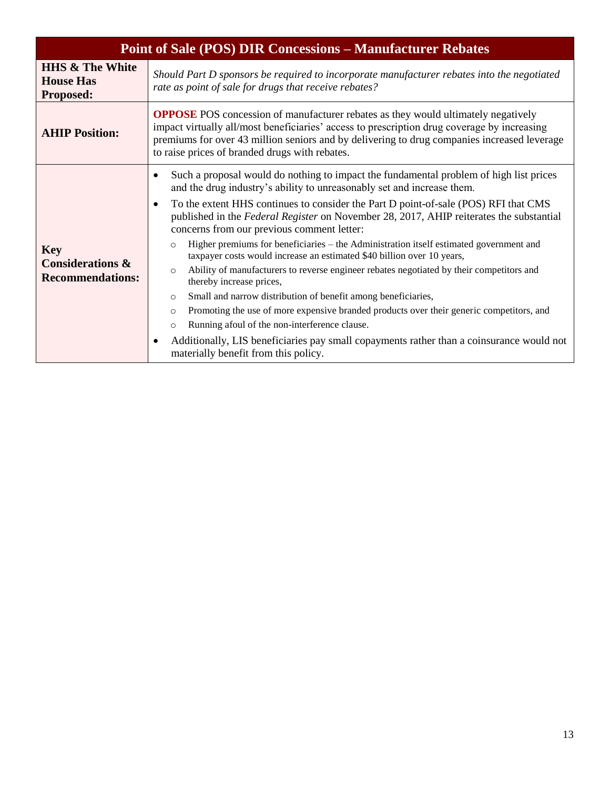<span id="page-31-0"></span>

| <b>Point of Sale (POS) DIR Concessions – Manufacturer Rebates</b>    |                                                                                                                                                                                                                                                                                                                                                                                                                                                                                                                                                                                                                                                                                                                                                                                                                                                                                                                                                                                                                                                                                                       |  |
|----------------------------------------------------------------------|-------------------------------------------------------------------------------------------------------------------------------------------------------------------------------------------------------------------------------------------------------------------------------------------------------------------------------------------------------------------------------------------------------------------------------------------------------------------------------------------------------------------------------------------------------------------------------------------------------------------------------------------------------------------------------------------------------------------------------------------------------------------------------------------------------------------------------------------------------------------------------------------------------------------------------------------------------------------------------------------------------------------------------------------------------------------------------------------------------|--|
| <b>HHS &amp; The White</b><br><b>House Has</b><br>Proposed:          | Should Part D sponsors be required to incorporate manufacturer rebates into the negotiated<br>rate as point of sale for drugs that receive rebates?                                                                                                                                                                                                                                                                                                                                                                                                                                                                                                                                                                                                                                                                                                                                                                                                                                                                                                                                                   |  |
| <b>AHIP Position:</b>                                                | <b>OPPOSE</b> POS concession of manufacturer rebates as they would ultimately negatively<br>impact virtually all/most beneficiaries' access to prescription drug coverage by increasing<br>premiums for over 43 million seniors and by delivering to drug companies increased leverage<br>to raise prices of branded drugs with rebates.                                                                                                                                                                                                                                                                                                                                                                                                                                                                                                                                                                                                                                                                                                                                                              |  |
| <b>Key</b><br><b>Considerations &amp;</b><br><b>Recommendations:</b> | Such a proposal would do nothing to impact the fundamental problem of high list prices<br>and the drug industry's ability to unreasonably set and increase them.<br>To the extent HHS continues to consider the Part D point-of-sale (POS) RFI that CMS<br>published in the Federal Register on November 28, 2017, AHIP reiterates the substantial<br>concerns from our previous comment letter:<br>Higher premiums for beneficiaries – the Administration itself estimated government and<br>$\circ$<br>taxpayer costs would increase an estimated \$40 billion over 10 years,<br>Ability of manufacturers to reverse engineer rebates negotiated by their competitors and<br>$\circ$<br>thereby increase prices,<br>Small and narrow distribution of benefit among beneficiaries,<br>$\circ$<br>Promoting the use of more expensive branded products over their generic competitors, and<br>$\circ$<br>Running afoul of the non-interference clause.<br>$\circ$<br>Additionally, LIS beneficiaries pay small copayments rather than a coinsurance would not<br>materially benefit from this policy. |  |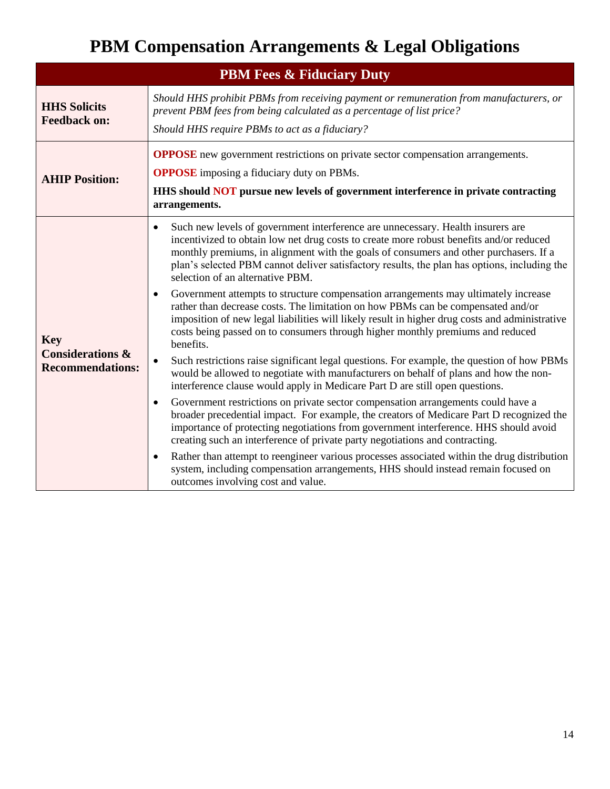## **PBM Compensation Arrangements & Legal Obligations**

<span id="page-32-1"></span><span id="page-32-0"></span>

| <b>PBM Fees &amp; Fiduciary Duty</b>                                 |                                                                                                                                                                                                                                                                                                                                                                                                                                                                                                                                                                                                                                                                                                                                                                                                                                                                                                                                                                                                                                                                                                                                                                                                                                                                                                                                                                                                                                                                                                                                                                                                                                                                                                     |  |
|----------------------------------------------------------------------|-----------------------------------------------------------------------------------------------------------------------------------------------------------------------------------------------------------------------------------------------------------------------------------------------------------------------------------------------------------------------------------------------------------------------------------------------------------------------------------------------------------------------------------------------------------------------------------------------------------------------------------------------------------------------------------------------------------------------------------------------------------------------------------------------------------------------------------------------------------------------------------------------------------------------------------------------------------------------------------------------------------------------------------------------------------------------------------------------------------------------------------------------------------------------------------------------------------------------------------------------------------------------------------------------------------------------------------------------------------------------------------------------------------------------------------------------------------------------------------------------------------------------------------------------------------------------------------------------------------------------------------------------------------------------------------------------------|--|
| <b>HHS Solicits</b><br><b>Feedback on:</b>                           | Should HHS prohibit PBMs from receiving payment or remuneration from manufacturers, or<br>prevent PBM fees from being calculated as a percentage of list price?<br>Should HHS require PBMs to act as a fiduciary?                                                                                                                                                                                                                                                                                                                                                                                                                                                                                                                                                                                                                                                                                                                                                                                                                                                                                                                                                                                                                                                                                                                                                                                                                                                                                                                                                                                                                                                                                   |  |
| <b>AHIP Position:</b>                                                | <b>OPPOSE</b> new government restrictions on private sector compensation arrangements.<br><b>OPPOSE</b> imposing a fiduciary duty on PBMs.<br>HHS should NOT pursue new levels of government interference in private contracting<br>arrangements.                                                                                                                                                                                                                                                                                                                                                                                                                                                                                                                                                                                                                                                                                                                                                                                                                                                                                                                                                                                                                                                                                                                                                                                                                                                                                                                                                                                                                                                   |  |
| <b>Key</b><br><b>Considerations &amp;</b><br><b>Recommendations:</b> | Such new levels of government interference are unnecessary. Health insurers are<br>$\bullet$<br>incentivized to obtain low net drug costs to create more robust benefits and/or reduced<br>monthly premiums, in alignment with the goals of consumers and other purchasers. If a<br>plan's selected PBM cannot deliver satisfactory results, the plan has options, including the<br>selection of an alternative PBM.<br>Government attempts to structure compensation arrangements may ultimately increase<br>$\bullet$<br>rather than decrease costs. The limitation on how PBMs can be compensated and/or<br>imposition of new legal liabilities will likely result in higher drug costs and administrative<br>costs being passed on to consumers through higher monthly premiums and reduced<br>benefits.<br>Such restrictions raise significant legal questions. For example, the question of how PBMs<br>$\bullet$<br>would be allowed to negotiate with manufacturers on behalf of plans and how the non-<br>interference clause would apply in Medicare Part D are still open questions.<br>Government restrictions on private sector compensation arrangements could have a<br>٠<br>broader precedential impact. For example, the creators of Medicare Part D recognized the<br>importance of protecting negotiations from government interference. HHS should avoid<br>creating such an interference of private party negotiations and contracting.<br>Rather than attempt to reengineer various processes associated within the drug distribution<br>$\bullet$<br>system, including compensation arrangements, HHS should instead remain focused on<br>outcomes involving cost and value. |  |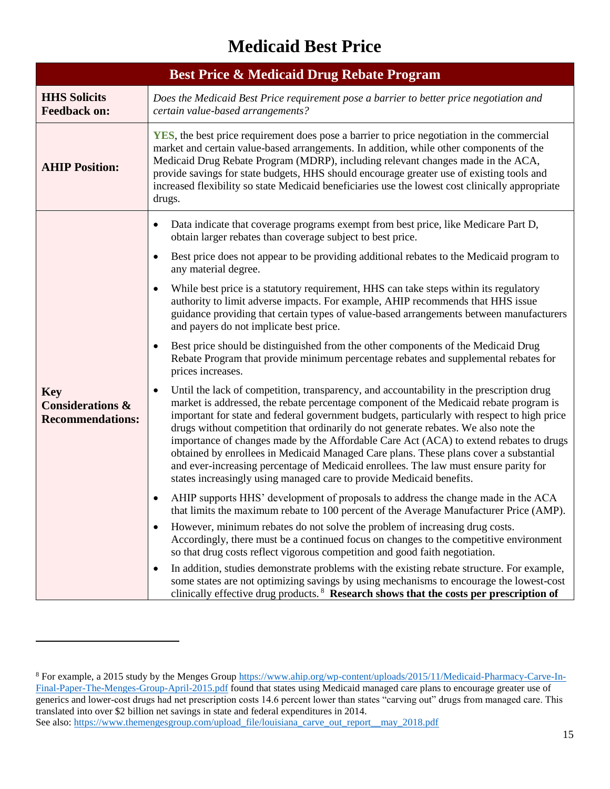## **Medicaid Best Price**

<span id="page-33-1"></span><span id="page-33-0"></span>

| <b>Best Price &amp; Medicaid Drug Rebate Program</b>                 |                                                                                                                                                                                                                                                                                                                                                                                                                                                                                                                                                                                                                                                                                                                                          |  |
|----------------------------------------------------------------------|------------------------------------------------------------------------------------------------------------------------------------------------------------------------------------------------------------------------------------------------------------------------------------------------------------------------------------------------------------------------------------------------------------------------------------------------------------------------------------------------------------------------------------------------------------------------------------------------------------------------------------------------------------------------------------------------------------------------------------------|--|
| <b>HHS Solicits</b><br><b>Feedback on:</b>                           | Does the Medicaid Best Price requirement pose a barrier to better price negotiation and<br>certain value-based arrangements?                                                                                                                                                                                                                                                                                                                                                                                                                                                                                                                                                                                                             |  |
| <b>AHIP Position:</b>                                                | <b>YES</b> , the best price requirement does pose a barrier to price negotiation in the commercial<br>market and certain value-based arrangements. In addition, while other components of the<br>Medicaid Drug Rebate Program (MDRP), including relevant changes made in the ACA,<br>provide savings for state budgets, HHS should encourage greater use of existing tools and<br>increased flexibility so state Medicaid beneficiaries use the lowest cost clinically appropriate<br>drugs.                                                                                                                                                                                                                                             |  |
| <b>Key</b><br><b>Considerations &amp;</b><br><b>Recommendations:</b> | Data indicate that coverage programs exempt from best price, like Medicare Part D,<br>$\bullet$<br>obtain larger rebates than coverage subject to best price.<br>Best price does not appear to be providing additional rebates to the Medicaid program to                                                                                                                                                                                                                                                                                                                                                                                                                                                                                |  |
|                                                                      | any material degree.<br>While best price is a statutory requirement, HHS can take steps within its regulatory<br>authority to limit adverse impacts. For example, AHIP recommends that HHS issue<br>guidance providing that certain types of value-based arrangements between manufacturers<br>and payers do not implicate best price.                                                                                                                                                                                                                                                                                                                                                                                                   |  |
|                                                                      | Best price should be distinguished from the other components of the Medicaid Drug<br>Rebate Program that provide minimum percentage rebates and supplemental rebates for<br>prices increases.                                                                                                                                                                                                                                                                                                                                                                                                                                                                                                                                            |  |
|                                                                      | Until the lack of competition, transparency, and accountability in the prescription drug<br>$\bullet$<br>market is addressed, the rebate percentage component of the Medicaid rebate program is<br>important for state and federal government budgets, particularly with respect to high price<br>drugs without competition that ordinarily do not generate rebates. We also note the<br>importance of changes made by the Affordable Care Act (ACA) to extend rebates to drugs<br>obtained by enrollees in Medicaid Managed Care plans. These plans cover a substantial<br>and ever-increasing percentage of Medicaid enrollees. The law must ensure parity for<br>states increasingly using managed care to provide Medicaid benefits. |  |
|                                                                      | AHIP supports HHS' development of proposals to address the change made in the ACA<br>that limits the maximum rebate to 100 percent of the Average Manufacturer Price (AMP).                                                                                                                                                                                                                                                                                                                                                                                                                                                                                                                                                              |  |
|                                                                      | However, minimum rebates do not solve the problem of increasing drug costs.<br>$\bullet$<br>Accordingly, there must be a continued focus on changes to the competitive environment<br>so that drug costs reflect vigorous competition and good faith negotiation.                                                                                                                                                                                                                                                                                                                                                                                                                                                                        |  |
|                                                                      | In addition, studies demonstrate problems with the existing rebate structure. For example,<br>$\bullet$<br>some states are not optimizing savings by using mechanisms to encourage the lowest-cost<br>clinically effective drug products. <sup>8</sup> Research shows that the costs per prescription of                                                                                                                                                                                                                                                                                                                                                                                                                                 |  |

<sup>&</sup>lt;sup>8</sup> For example, a 2015 study by the Menges Group [https://www.ahip.org/wp-content/uploads/2015/11/Medicaid-Pharmacy-Carve-In-](https://www.ahip.org/wp-content/uploads/2015/11/Medicaid-Pharmacy-Carve-In-Final-Paper-The-Menges-Group-April-2015.pdf)[Final-Paper-The-Menges-Group-April-2015.pdf](https://www.ahip.org/wp-content/uploads/2015/11/Medicaid-Pharmacy-Carve-In-Final-Paper-The-Menges-Group-April-2015.pdf) found that states using Medicaid managed care plans to encourage greater use of generics and lower-cost drugs had net prescription costs 14.6 percent lower than states "carving out" drugs from managed care. This translated into over \$2 billion net savings in state and federal expenditures in 2014. See also: [https://www.themengesgroup.com/upload\\_file/louisiana\\_carve\\_out\\_report\\_\\_may\\_2018.pdf](https://www.themengesgroup.com/upload_file/louisiana_carve_out_report__may_2018.pdf)